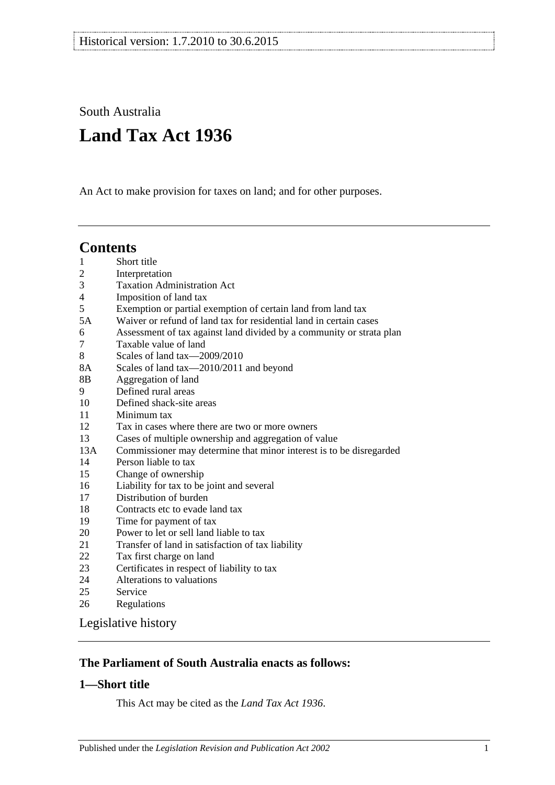South Australia

# **Land Tax Act 1936**

An Act to make provision for taxes on land; and for other purposes.

## **Contents**

| $\mathbf{1}$   | Short title                                                          |
|----------------|----------------------------------------------------------------------|
| $\overline{c}$ | Interpretation                                                       |
| 3              | <b>Taxation Administration Act</b>                                   |
| 4              | Imposition of land tax                                               |
| 5              | Exemption or partial exemption of certain land from land tax         |
| 5A             | Waiver or refund of land tax for residential land in certain cases   |
| 6              | Assessment of tax against land divided by a community or strata plan |
| 7              | Taxable value of land                                                |
| 8              | Scales of land tax-2009/2010                                         |
| <b>8A</b>      | Scales of land tax-2010/2011 and beyond                              |
| 8B             | Aggregation of land                                                  |
| 9              | Defined rural areas                                                  |
| 10             | Defined shack-site areas                                             |
| 11             | Minimum tax                                                          |
| 12             | Tax in cases where there are two or more owners                      |
| 13             | Cases of multiple ownership and aggregation of value                 |
| 13A            | Commissioner may determine that minor interest is to be disregarded  |
| 14             | Person liable to tax                                                 |
| 15             | Change of ownership                                                  |
| 16             | Liability for tax to be joint and several                            |
| 17             | Distribution of burden                                               |
| 18             | Contracts etc to evade land tax                                      |
| 19             | Time for payment of tax                                              |
| 20             | Power to let or sell land liable to tax                              |
| 21             | Transfer of land in satisfaction of tax liability                    |
| 22             | Tax first charge on land                                             |
| 23             | Certificates in respect of liability to tax                          |
| 24             | Alterations to valuations                                            |
| 25             | Service                                                              |
| 26             | Regulations                                                          |

[Legislative history](#page-24-0)

## **The Parliament of South Australia enacts as follows:**

## <span id="page-0-0"></span>**1—Short title**

This Act may be cited as the *Land Tax Act 1936*.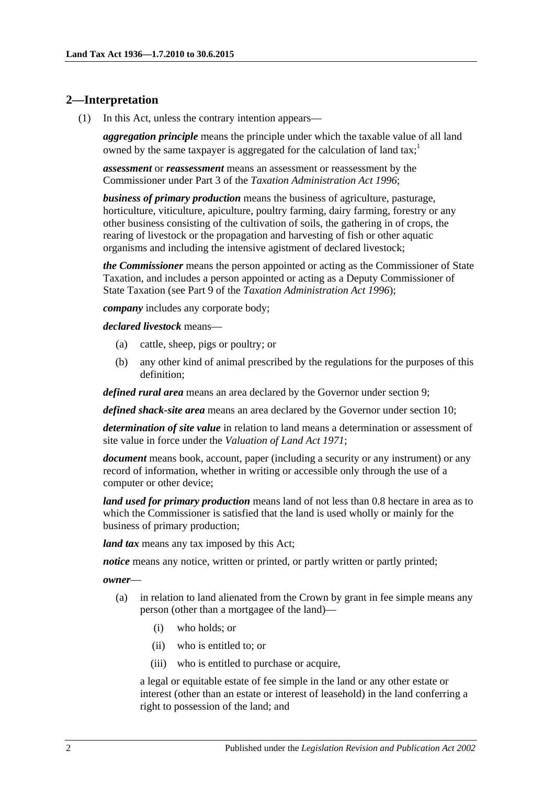#### <span id="page-1-1"></span><span id="page-1-0"></span>**2—Interpretation**

(1) In this Act, unless the contrary intention appears—

*aggregation principle* means the principle under which the taxable value of all land owned by the same taxpayer is aggregated for the calculation of land tax;<sup>1</sup>

*assessment* or *reassessment* means an assessment or reassessment by the Commissioner under Part 3 of the *[Taxation Administration Act](http://www.legislation.sa.gov.au/index.aspx?action=legref&type=act&legtitle=Taxation%20Administration%20Act%201996) 1996*;

*business of primary production* means the business of agriculture, pasturage, horticulture, viticulture, apiculture, poultry farming, dairy farming, forestry or any other business consisting of the cultivation of soils, the gathering in of crops, the rearing of livestock or the propagation and harvesting of fish or other aquatic organisms and including the intensive agistment of declared livestock;

*the Commissioner* means the person appointed or acting as the Commissioner of State Taxation, and includes a person appointed or acting as a Deputy Commissioner of State Taxation (see Part 9 of the *[Taxation Administration Act](http://www.legislation.sa.gov.au/index.aspx?action=legref&type=act&legtitle=Taxation%20Administration%20Act%201996) 1996*);

*company* includes any corporate body;

*declared livestock* means—

- (a) cattle, sheep, pigs or poultry; or
- (b) any other kind of animal prescribed by the regulations for the purposes of this definition;

*defined rural area* means an area declared by the Governor under [section](#page-17-1) 9;

*defined shack-site area* means an area declared by the Governor under [section](#page-17-2) 10;

*determination of site value* in relation to land means a determination or assessment of site value in force under the *[Valuation of Land Act](http://www.legislation.sa.gov.au/index.aspx?action=legref&type=act&legtitle=Valuation%20of%20Land%20Act%201971) 1971*;

*document* means book, account, paper (including a security or any instrument) or any record of information, whether in writing or accessible only through the use of a computer or other device;

*land used for primary production* means land of not less than 0.8 hectare in area as to which the Commissioner is satisfied that the land is used wholly or mainly for the business of primary production;

*land tax* means any tax imposed by this Act;

*notice* means any notice, written or printed, or partly written or partly printed;

*owner*—

- (a) in relation to land alienated from the Crown by grant in fee simple means any person (other than a mortgagee of the land)—
	- (i) who holds; or
	- (ii) who is entitled to; or
	- (iii) who is entitled to purchase or acquire,

a legal or equitable estate of fee simple in the land or any other estate or interest (other than an estate or interest of leasehold) in the land conferring a right to possession of the land; and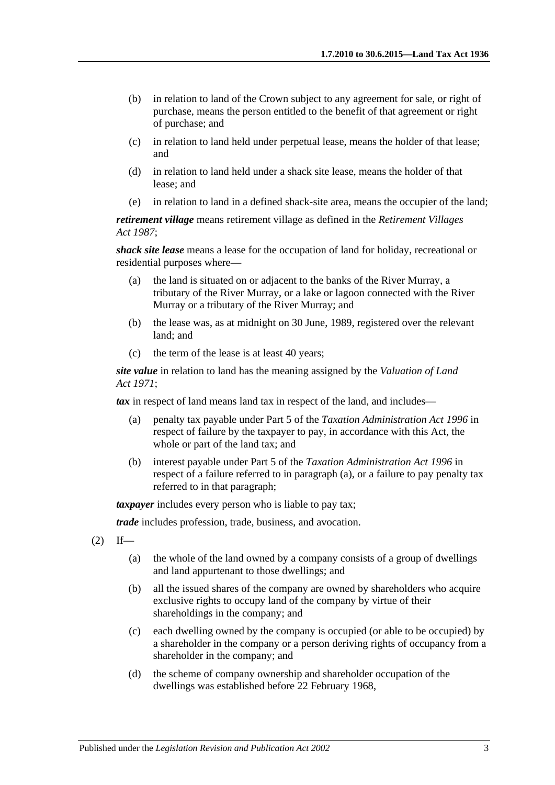- (b) in relation to land of the Crown subject to any agreement for sale, or right of purchase, means the person entitled to the benefit of that agreement or right of purchase; and
- (c) in relation to land held under perpetual lease, means the holder of that lease; and
- (d) in relation to land held under a shack site lease, means the holder of that lease; and
- (e) in relation to land in a defined shack-site area, means the occupier of the land;

*retirement village* means retirement village as defined in the *[Retirement Villages](http://www.legislation.sa.gov.au/index.aspx?action=legref&type=act&legtitle=Retirement%20Villages%20Act%201987)  Act [1987](http://www.legislation.sa.gov.au/index.aspx?action=legref&type=act&legtitle=Retirement%20Villages%20Act%201987)*;

*shack site lease* means a lease for the occupation of land for holiday, recreational or residential purposes where—

- (a) the land is situated on or adjacent to the banks of the River Murray, a tributary of the River Murray, or a lake or lagoon connected with the River Murray or a tributary of the River Murray; and
- (b) the lease was, as at midnight on 30 June, 1989, registered over the relevant land; and
- (c) the term of the lease is at least 40 years;

*site value* in relation to land has the meaning assigned by the *[Valuation of Land](http://www.legislation.sa.gov.au/index.aspx?action=legref&type=act&legtitle=Valuation%20of%20Land%20Act%201971)  Act [1971](http://www.legislation.sa.gov.au/index.aspx?action=legref&type=act&legtitle=Valuation%20of%20Land%20Act%201971)*;

<span id="page-2-0"></span>*tax* in respect of land means land tax in respect of the land, and includes—

- (a) penalty tax payable under Part 5 of the *[Taxation Administration Act](http://www.legislation.sa.gov.au/index.aspx?action=legref&type=act&legtitle=Taxation%20Administration%20Act%201996) 1996* in respect of failure by the taxpayer to pay, in accordance with this Act, the whole or part of the land tax; and
- (b) interest payable under Part 5 of the *[Taxation Administration Act](http://www.legislation.sa.gov.au/index.aspx?action=legref&type=act&legtitle=Taxation%20Administration%20Act%201996) 1996* in respect of a failure referred to in [paragraph](#page-2-0) (a), or a failure to pay penalty tax referred to in that paragraph;

*taxpayer* includes every person who is liable to pay tax;

*trade* includes profession, trade, business, and avocation.

- $(2)$  If—
	- (a) the whole of the land owned by a company consists of a group of dwellings and land appurtenant to those dwellings; and
	- (b) all the issued shares of the company are owned by shareholders who acquire exclusive rights to occupy land of the company by virtue of their shareholdings in the company; and
	- (c) each dwelling owned by the company is occupied (or able to be occupied) by a shareholder in the company or a person deriving rights of occupancy from a shareholder in the company; and
	- (d) the scheme of company ownership and shareholder occupation of the dwellings was established before 22 February 1968,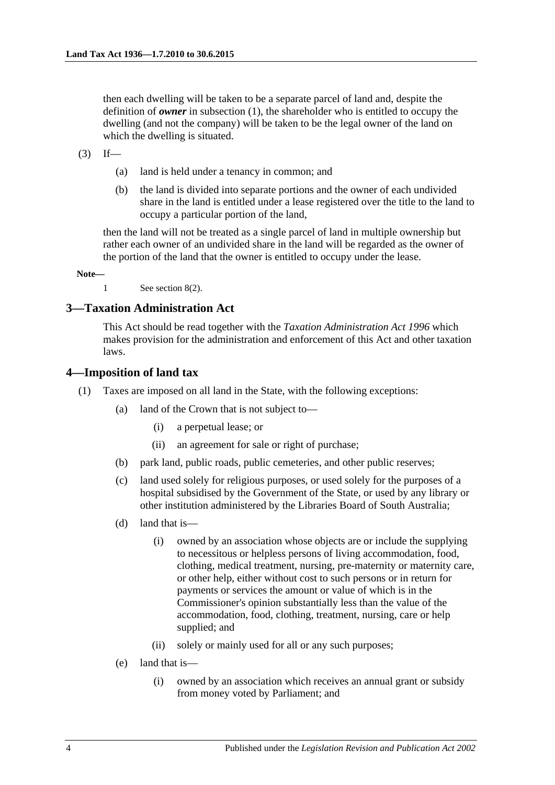then each dwelling will be taken to be a separate parcel of land and, despite the definition of *owner* in [subsection](#page-1-1) (1), the shareholder who is entitled to occupy the dwelling (and not the company) will be taken to be the legal owner of the land on which the dwelling is situated.

 $(3)$  If—

- (a) land is held under a tenancy in common; and
- (b) the land is divided into separate portions and the owner of each undivided share in the land is entitled under a lease registered over the title to the land to occupy a particular portion of the land,

then the land will not be treated as a single parcel of land in multiple ownership but rather each owner of an undivided share in the land will be regarded as the owner of the portion of the land that the owner is entitled to occupy under the lease.

**Note—**

1 See section 8(2).

#### <span id="page-3-0"></span>**3—Taxation Administration Act**

This Act should be read together with the *[Taxation Administration Act](http://www.legislation.sa.gov.au/index.aspx?action=legref&type=act&legtitle=Taxation%20Administration%20Act%201996) 1996* which makes provision for the administration and enforcement of this Act and other taxation laws.

#### <span id="page-3-1"></span>**4—Imposition of land tax**

- <span id="page-3-3"></span><span id="page-3-2"></span>(1) Taxes are imposed on all land in the State, with the following exceptions:
	- (a) land of the Crown that is not subject to—
		- (i) a perpetual lease; or
		- (ii) an agreement for sale or right of purchase;
	- (b) park land, public roads, public cemeteries, and other public reserves;
	- (c) land used solely for religious purposes, or used solely for the purposes of a hospital subsidised by the Government of the State, or used by any library or other institution administered by the Libraries Board of South Australia;
	- (d) land that is—
		- (i) owned by an association whose objects are or include the supplying to necessitous or helpless persons of living accommodation, food, clothing, medical treatment, nursing, pre-maternity or maternity care, or other help, either without cost to such persons or in return for payments or services the amount or value of which is in the Commissioner's opinion substantially less than the value of the accommodation, food, clothing, treatment, nursing, care or help supplied; and
		- (ii) solely or mainly used for all or any such purposes;
	- (e) land that is—
		- (i) owned by an association which receives an annual grant or subsidy from money voted by Parliament; and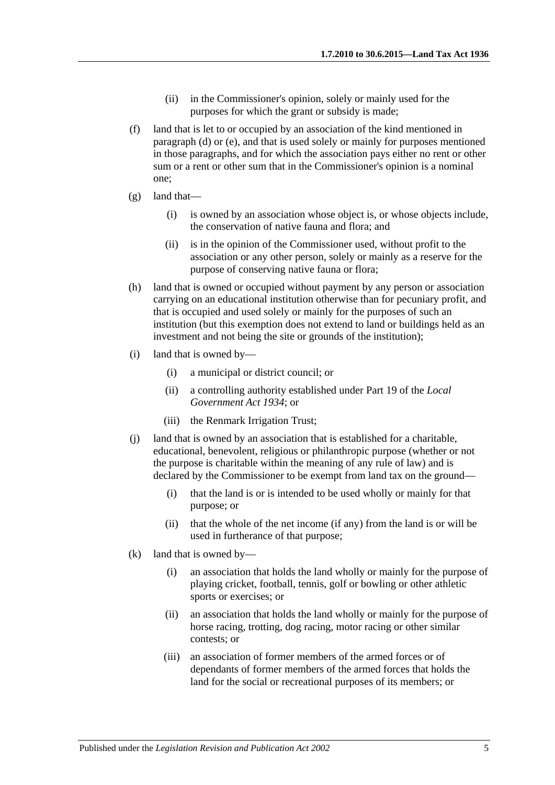- (ii) in the Commissioner's opinion, solely or mainly used for the purposes for which the grant or subsidy is made;
- (f) land that is let to or occupied by an association of the kind mentioned in [paragraph](#page-3-2) (d) or [\(e\),](#page-3-3) and that is used solely or mainly for purposes mentioned in those paragraphs, and for which the association pays either no rent or other sum or a rent or other sum that in the Commissioner's opinion is a nominal one;
- (g) land that—
	- (i) is owned by an association whose object is, or whose objects include, the conservation of native fauna and flora; and
	- (ii) is in the opinion of the Commissioner used, without profit to the association or any other person, solely or mainly as a reserve for the purpose of conserving native fauna or flora;
- (h) land that is owned or occupied without payment by any person or association carrying on an educational institution otherwise than for pecuniary profit, and that is occupied and used solely or mainly for the purposes of such an institution (but this exemption does not extend to land or buildings held as an investment and not being the site or grounds of the institution);
- (i) land that is owned by—
	- (i) a municipal or district council; or
	- (ii) a controlling authority established under Part 19 of the *[Local](http://www.legislation.sa.gov.au/index.aspx?action=legref&type=act&legtitle=Local%20Government%20Act%201934)  [Government Act](http://www.legislation.sa.gov.au/index.aspx?action=legref&type=act&legtitle=Local%20Government%20Act%201934) 1934*; or
	- (iii) the Renmark Irrigation Trust;
- (j) land that is owned by an association that is established for a charitable, educational, benevolent, religious or philanthropic purpose (whether or not the purpose is charitable within the meaning of any rule of law) and is declared by the Commissioner to be exempt from land tax on the ground—
	- (i) that the land is or is intended to be used wholly or mainly for that purpose; or
	- (ii) that the whole of the net income (if any) from the land is or will be used in furtherance of that purpose;
- (k) land that is owned by—
	- (i) an association that holds the land wholly or mainly for the purpose of playing cricket, football, tennis, golf or bowling or other athletic sports or exercises; or
	- (ii) an association that holds the land wholly or mainly for the purpose of horse racing, trotting, dog racing, motor racing or other similar contests; or
	- (iii) an association of former members of the armed forces or of dependants of former members of the armed forces that holds the land for the social or recreational purposes of its members; or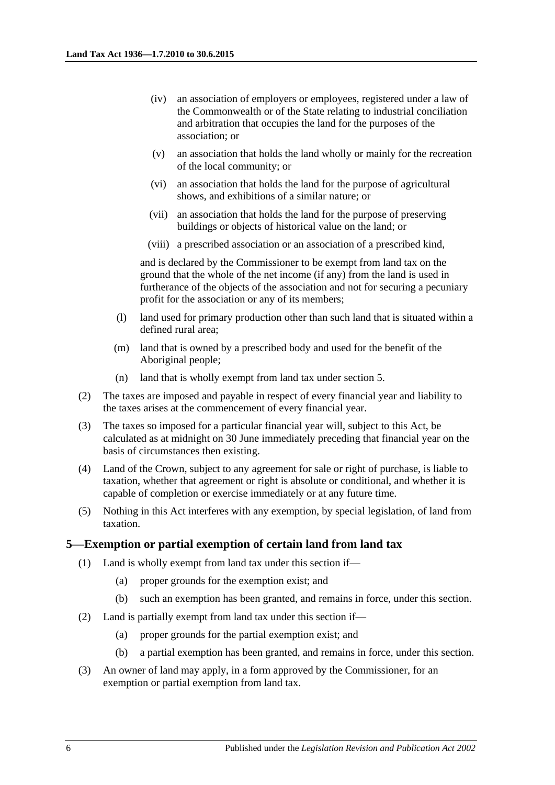- (iv) an association of employers or employees, registered under a law of the Commonwealth or of the State relating to industrial conciliation and arbitration that occupies the land for the purposes of the association; or
- (v) an association that holds the land wholly or mainly for the recreation of the local community; or
- (vi) an association that holds the land for the purpose of agricultural shows, and exhibitions of a similar nature; or
- (vii) an association that holds the land for the purpose of preserving buildings or objects of historical value on the land; or
- (viii) a prescribed association or an association of a prescribed kind,

and is declared by the Commissioner to be exempt from land tax on the ground that the whole of the net income (if any) from the land is used in furtherance of the objects of the association and not for securing a pecuniary profit for the association or any of its members;

- (l) land used for primary production other than such land that is situated within a defined rural area;
- (m) land that is owned by a prescribed body and used for the benefit of the Aboriginal people;
- (n) land that is wholly exempt from land tax under [section](#page-5-0) 5.
- (2) The taxes are imposed and payable in respect of every financial year and liability to the taxes arises at the commencement of every financial year.
- (3) The taxes so imposed for a particular financial year will, subject to this Act, be calculated as at midnight on 30 June immediately preceding that financial year on the basis of circumstances then existing.
- (4) Land of the Crown, subject to any agreement for sale or right of purchase, is liable to taxation, whether that agreement or right is absolute or conditional, and whether it is capable of completion or exercise immediately or at any future time.
- (5) Nothing in this Act interferes with any exemption, by special legislation, of land from taxation.

#### <span id="page-5-0"></span>**5—Exemption or partial exemption of certain land from land tax**

- (1) Land is wholly exempt from land tax under this section if—
	- (a) proper grounds for the exemption exist; and
	- (b) such an exemption has been granted, and remains in force, under this section.
- (2) Land is partially exempt from land tax under this section if—
	- (a) proper grounds for the partial exemption exist; and
	- (b) a partial exemption has been granted, and remains in force, under this section.
- <span id="page-5-1"></span>(3) An owner of land may apply, in a form approved by the Commissioner, for an exemption or partial exemption from land tax.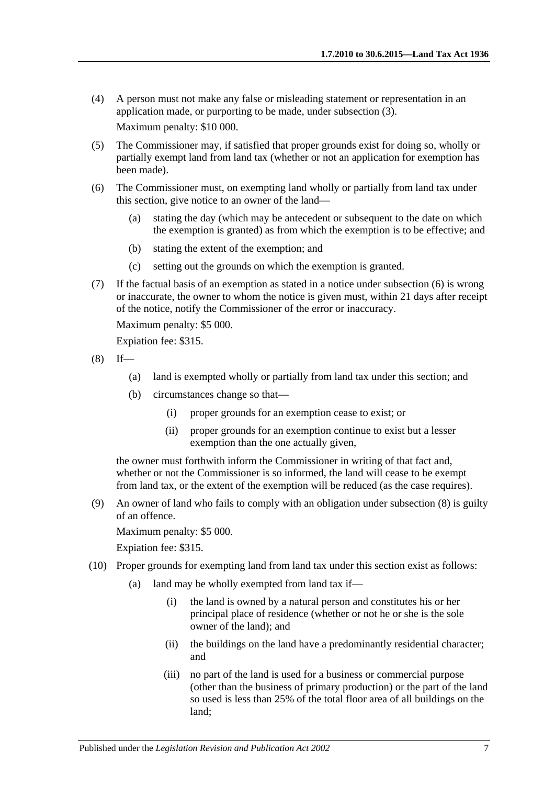- (4) A person must not make any false or misleading statement or representation in an application made, or purporting to be made, under [subsection](#page-5-1) (3). Maximum penalty: \$10 000.
- (5) The Commissioner may, if satisfied that proper grounds exist for doing so, wholly or partially exempt land from land tax (whether or not an application for exemption has been made).
- <span id="page-6-0"></span>(6) The Commissioner must, on exempting land wholly or partially from land tax under this section, give notice to an owner of the land—
	- (a) stating the day (which may be antecedent or subsequent to the date on which the exemption is granted) as from which the exemption is to be effective; and
	- (b) stating the extent of the exemption; and
	- (c) setting out the grounds on which the exemption is granted.
- (7) If the factual basis of an exemption as stated in a notice under [subsection](#page-6-0) (6) is wrong or inaccurate, the owner to whom the notice is given must, within 21 days after receipt of the notice, notify the Commissioner of the error or inaccuracy.

Maximum penalty: \$5 000.

Expiation fee: \$315.

- <span id="page-6-1"></span> $(8)$  If—
	- (a) land is exempted wholly or partially from land tax under this section; and
	- (b) circumstances change so that—
		- (i) proper grounds for an exemption cease to exist; or
		- (ii) proper grounds for an exemption continue to exist but a lesser exemption than the one actually given,

the owner must forthwith inform the Commissioner in writing of that fact and, whether or not the Commissioner is so informed, the land will cease to be exempt from land tax, or the extent of the exemption will be reduced (as the case requires).

(9) An owner of land who fails to comply with an obligation under [subsection](#page-6-1) (8) is guilty of an offence.

Maximum penalty: \$5 000.

Expiation fee: \$315.

- <span id="page-6-2"></span>(10) Proper grounds for exempting land from land tax under this section exist as follows:
	- (a) land may be wholly exempted from land tax if—
		- (i) the land is owned by a natural person and constitutes his or her principal place of residence (whether or not he or she is the sole owner of the land); and
		- (ii) the buildings on the land have a predominantly residential character; and
		- (iii) no part of the land is used for a business or commercial purpose (other than the business of primary production) or the part of the land so used is less than 25% of the total floor area of all buildings on the land;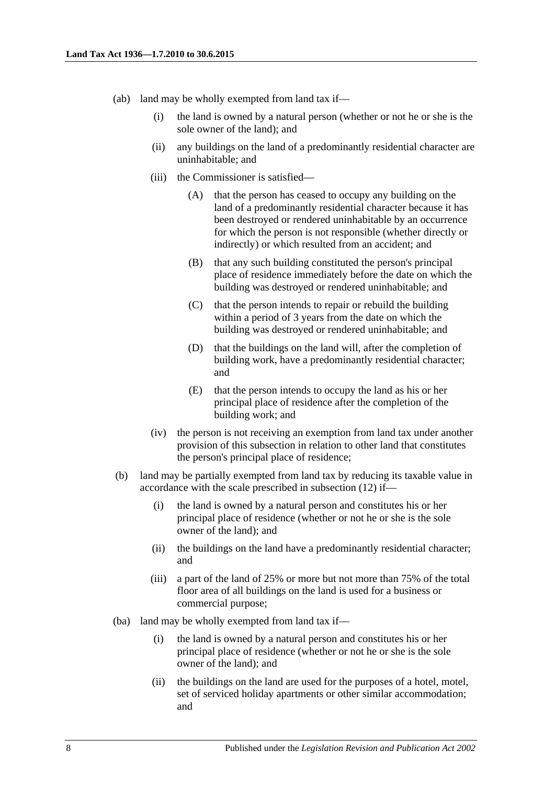- <span id="page-7-0"></span>(ab) land may be wholly exempted from land tax if—
	- (i) the land is owned by a natural person (whether or not he or she is the sole owner of the land); and
	- (ii) any buildings on the land of a predominantly residential character are uninhabitable; and
	- (iii) the Commissioner is satisfied—
		- (A) that the person has ceased to occupy any building on the land of a predominantly residential character because it has been destroyed or rendered uninhabitable by an occurrence for which the person is not responsible (whether directly or indirectly) or which resulted from an accident; and
		- (B) that any such building constituted the person's principal place of residence immediately before the date on which the building was destroyed or rendered uninhabitable; and
		- (C) that the person intends to repair or rebuild the building within a period of 3 years from the date on which the building was destroyed or rendered uninhabitable; and
		- (D) that the buildings on the land will, after the completion of building work, have a predominantly residential character; and
		- (E) that the person intends to occupy the land as his or her principal place of residence after the completion of the building work; and
	- (iv) the person is not receiving an exemption from land tax under another provision of this subsection in relation to other land that constitutes the person's principal place of residence;
- <span id="page-7-1"></span>(b) land may be partially exempted from land tax by reducing its taxable value in accordance with the scale prescribed in [subsection](#page-10-0) (12) if—
	- (i) the land is owned by a natural person and constitutes his or her principal place of residence (whether or not he or she is the sole owner of the land); and
	- (ii) the buildings on the land have a predominantly residential character; and
	- (iii) a part of the land of 25% or more but not more than 75% of the total floor area of all buildings on the land is used for a business or commercial purpose;
- (ba) land may be wholly exempted from land tax if—
	- (i) the land is owned by a natural person and constitutes his or her principal place of residence (whether or not he or she is the sole owner of the land); and
	- (ii) the buildings on the land are used for the purposes of a hotel, motel, set of serviced holiday apartments or other similar accommodation; and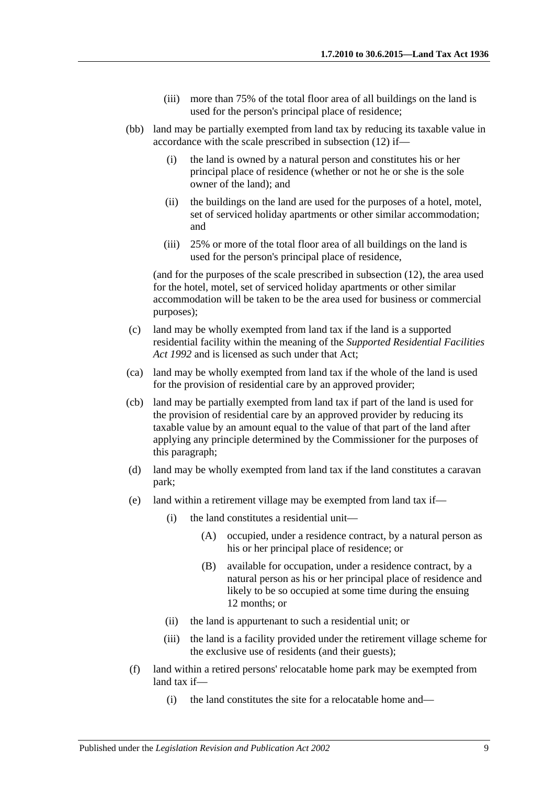- (iii) more than 75% of the total floor area of all buildings on the land is used for the person's principal place of residence;
- <span id="page-8-0"></span>(bb) land may be partially exempted from land tax by reducing its taxable value in accordance with the scale prescribed in [subsection](#page-10-0) (12) if—
	- (i) the land is owned by a natural person and constitutes his or her principal place of residence (whether or not he or she is the sole owner of the land); and
	- (ii) the buildings on the land are used for the purposes of a hotel, motel, set of serviced holiday apartments or other similar accommodation; and
	- (iii) 25% or more of the total floor area of all buildings on the land is used for the person's principal place of residence,

(and for the purposes of the scale prescribed in [subsection](#page-10-0) (12), the area used for the hotel, motel, set of serviced holiday apartments or other similar accommodation will be taken to be the area used for business or commercial purposes);

- (c) land may be wholly exempted from land tax if the land is a supported residential facility within the meaning of the *[Supported Residential Facilities](http://www.legislation.sa.gov.au/index.aspx?action=legref&type=act&legtitle=Supported%20Residential%20Facilities%20Act%201992)  Act [1992](http://www.legislation.sa.gov.au/index.aspx?action=legref&type=act&legtitle=Supported%20Residential%20Facilities%20Act%201992)* and is licensed as such under that Act;
- (ca) land may be wholly exempted from land tax if the whole of the land is used for the provision of residential care by an approved provider;
- (cb) land may be partially exempted from land tax if part of the land is used for the provision of residential care by an approved provider by reducing its taxable value by an amount equal to the value of that part of the land after applying any principle determined by the Commissioner for the purposes of this paragraph;
- (d) land may be wholly exempted from land tax if the land constitutes a caravan park;
- (e) land within a retirement village may be exempted from land tax if—
	- (i) the land constitutes a residential unit—
		- (A) occupied, under a residence contract, by a natural person as his or her principal place of residence; or
		- (B) available for occupation, under a residence contract, by a natural person as his or her principal place of residence and likely to be so occupied at some time during the ensuing 12 months; or
	- (ii) the land is appurtenant to such a residential unit; or
	- (iii) the land is a facility provided under the retirement village scheme for the exclusive use of residents (and their guests);
- (f) land within a retired persons' relocatable home park may be exempted from land tax if—
	- (i) the land constitutes the site for a relocatable home and—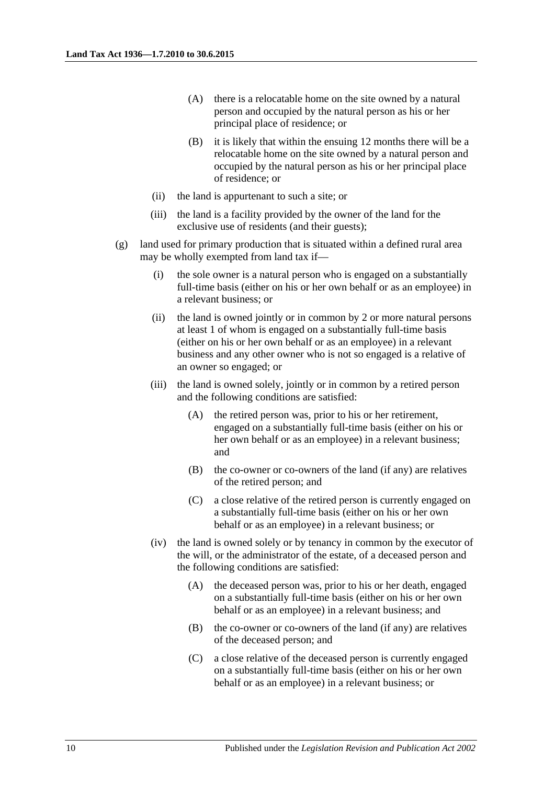- (A) there is a relocatable home on the site owned by a natural person and occupied by the natural person as his or her principal place of residence; or
- (B) it is likely that within the ensuing 12 months there will be a relocatable home on the site owned by a natural person and occupied by the natural person as his or her principal place of residence; or
- (ii) the land is appurtenant to such a site; or
- (iii) the land is a facility provided by the owner of the land for the exclusive use of residents (and their guests);
- (g) land used for primary production that is situated within a defined rural area may be wholly exempted from land tax if—
	- (i) the sole owner is a natural person who is engaged on a substantially full-time basis (either on his or her own behalf or as an employee) in a relevant business; or
	- (ii) the land is owned jointly or in common by 2 or more natural persons at least 1 of whom is engaged on a substantially full-time basis (either on his or her own behalf or as an employee) in a relevant business and any other owner who is not so engaged is a relative of an owner so engaged; or
	- (iii) the land is owned solely, jointly or in common by a retired person and the following conditions are satisfied:
		- (A) the retired person was, prior to his or her retirement, engaged on a substantially full-time basis (either on his or her own behalf or as an employee) in a relevant business; and
		- (B) the co-owner or co-owners of the land (if any) are relatives of the retired person; and
		- (C) a close relative of the retired person is currently engaged on a substantially full-time basis (either on his or her own behalf or as an employee) in a relevant business; or
	- (iv) the land is owned solely or by tenancy in common by the executor of the will, or the administrator of the estate, of a deceased person and the following conditions are satisfied:
		- (A) the deceased person was, prior to his or her death, engaged on a substantially full-time basis (either on his or her own behalf or as an employee) in a relevant business; and
		- (B) the co-owner or co-owners of the land (if any) are relatives of the deceased person; and
		- (C) a close relative of the deceased person is currently engaged on a substantially full-time basis (either on his or her own behalf or as an employee) in a relevant business; or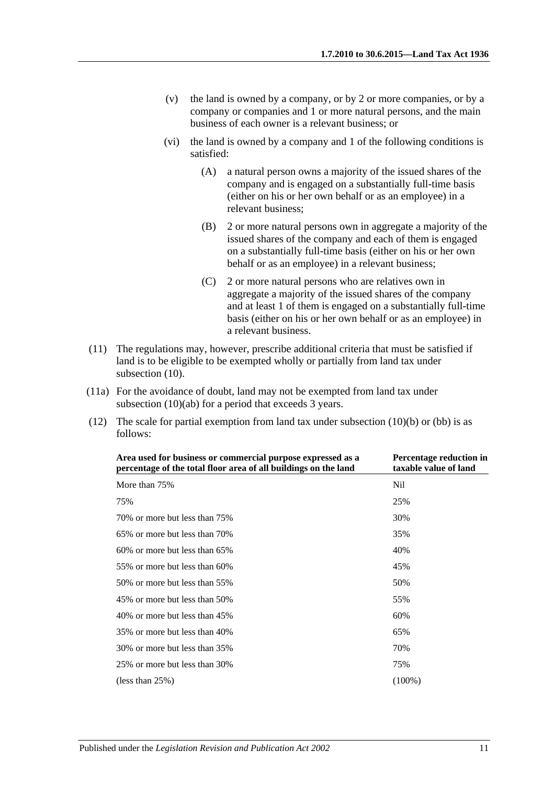- (v) the land is owned by a company, or by 2 or more companies, or by a company or companies and 1 or more natural persons, and the main business of each owner is a relevant business; or
- (vi) the land is owned by a company and 1 of the following conditions is satisfied:
	- (A) a natural person owns a majority of the issued shares of the company and is engaged on a substantially full-time basis (either on his or her own behalf or as an employee) in a relevant business;
	- (B) 2 or more natural persons own in aggregate a majority of the issued shares of the company and each of them is engaged on a substantially full-time basis (either on his or her own behalf or as an employee) in a relevant business;
	- (C) 2 or more natural persons who are relatives own in aggregate a majority of the issued shares of the company and at least 1 of them is engaged on a substantially full-time basis (either on his or her own behalf or as an employee) in a relevant business.
- (11) The regulations may, however, prescribe additional criteria that must be satisfied if land is to be eligible to be exempted wholly or partially from land tax under [subsection](#page-6-2) (10).
- (11a) For the avoidance of doubt, land may not be exempted from land tax under [subsection](#page-7-0) (10)(ab) for a period that exceeds 3 years.
- <span id="page-10-0"></span>(12) The scale for partial exemption from land tax under [subsection](#page-7-1)  $(10)(b)$  or  $(bb)$  is as follows:

| Area used for business or commercial purpose expressed as a<br>percentage of the total floor area of all buildings on the land | Percentage reduction in<br>taxable value of land |
|--------------------------------------------------------------------------------------------------------------------------------|--------------------------------------------------|
| More than 75%                                                                                                                  | Nil                                              |
| 75%                                                                                                                            | 25%                                              |
| 70% or more but less than 75%                                                                                                  | 30%                                              |
| 65% or more but less than 70%                                                                                                  | 35%                                              |
| $60\%$ or more but less than $65\%$                                                                                            | 40%                                              |
| 55% or more but less than 60%                                                                                                  | 45%                                              |
| 50% or more but less than 55%                                                                                                  | 50%                                              |
| 45% or more but less than 50%                                                                                                  | 55%                                              |
| 40% or more but less than 45%                                                                                                  | 60%                                              |
| 35% or more but less than 40%                                                                                                  | 65%                                              |
| 30% or more but less than 35%                                                                                                  | 70%                                              |
| 25% or more but less than 30%                                                                                                  | 75%                                              |
| (less than $25\%$ )                                                                                                            | $(100\%)$                                        |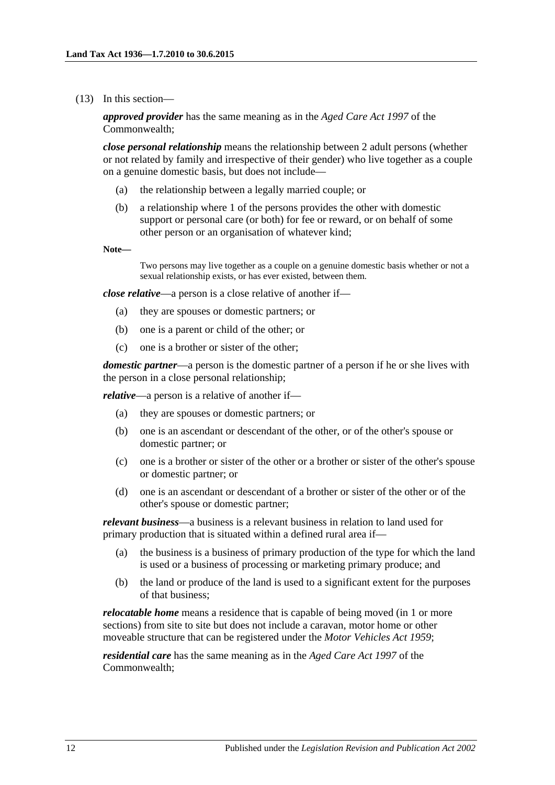#### (13) In this section—

*approved provider* has the same meaning as in the *Aged Care Act 1997* of the Commonwealth;

*close personal relationship* means the relationship between 2 adult persons (whether or not related by family and irrespective of their gender) who live together as a couple on a genuine domestic basis, but does not include—

- (a) the relationship between a legally married couple; or
- (b) a relationship where 1 of the persons provides the other with domestic support or personal care (or both) for fee or reward, or on behalf of some other person or an organisation of whatever kind;
- **Note—**

Two persons may live together as a couple on a genuine domestic basis whether or not a sexual relationship exists, or has ever existed, between them.

*close relative*—a person is a close relative of another if—

- (a) they are spouses or domestic partners; or
- (b) one is a parent or child of the other; or
- (c) one is a brother or sister of the other;

*domestic partner*—a person is the domestic partner of a person if he or she lives with the person in a close personal relationship;

*relative*—a person is a relative of another if—

- (a) they are spouses or domestic partners; or
- (b) one is an ascendant or descendant of the other, or of the other's spouse or domestic partner; or
- (c) one is a brother or sister of the other or a brother or sister of the other's spouse or domestic partner; or
- (d) one is an ascendant or descendant of a brother or sister of the other or of the other's spouse or domestic partner;

*relevant business*—a business is a relevant business in relation to land used for primary production that is situated within a defined rural area if—

- (a) the business is a business of primary production of the type for which the land is used or a business of processing or marketing primary produce; and
- (b) the land or produce of the land is used to a significant extent for the purposes of that business;

*relocatable home* means a residence that is capable of being moved (in 1 or more sections) from site to site but does not include a caravan, motor home or other moveable structure that can be registered under the *[Motor Vehicles Act](http://www.legislation.sa.gov.au/index.aspx?action=legref&type=act&legtitle=Motor%20Vehicles%20Act%201959) 1959*;

*residential care* has the same meaning as in the *Aged Care Act 1997* of the Commonwealth;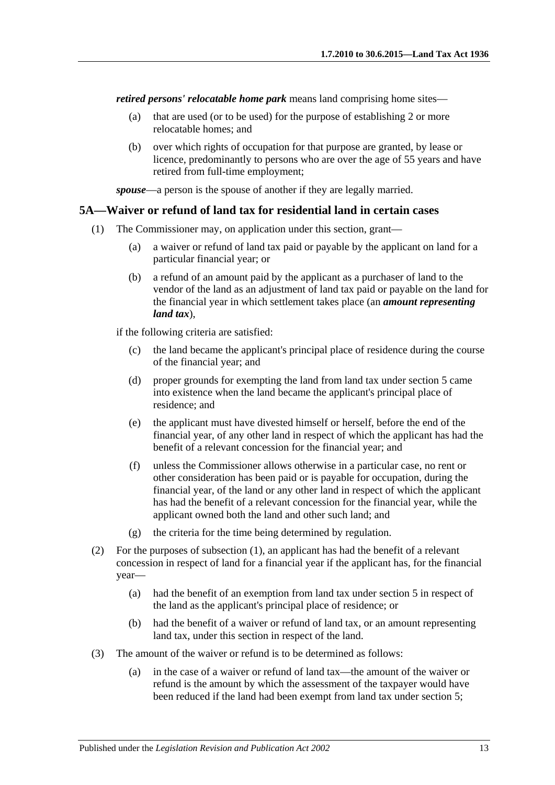*retired persons' relocatable home park* means land comprising home sites—

- (a) that are used (or to be used) for the purpose of establishing 2 or more relocatable homes; and
- (b) over which rights of occupation for that purpose are granted, by lease or licence, predominantly to persons who are over the age of 55 years and have retired from full-time employment;

*spouse*—a person is the spouse of another if they are legally married.

#### <span id="page-12-1"></span><span id="page-12-0"></span>**5A—Waiver or refund of land tax for residential land in certain cases**

- (1) The Commissioner may, on application under this section, grant—
	- (a) a waiver or refund of land tax paid or payable by the applicant on land for a particular financial year; or
	- (b) a refund of an amount paid by the applicant as a purchaser of land to the vendor of the land as an adjustment of land tax paid or payable on the land for the financial year in which settlement takes place (an *amount representing land tax*),

if the following criteria are satisfied:

- (c) the land became the applicant's principal place of residence during the course of the financial year; and
- (d) proper grounds for exempting the land from land tax under [section](#page-5-0) 5 came into existence when the land became the applicant's principal place of residence; and
- (e) the applicant must have divested himself or herself, before the end of the financial year, of any other land in respect of which the applicant has had the benefit of a relevant concession for the financial year; and
- (f) unless the Commissioner allows otherwise in a particular case, no rent or other consideration has been paid or is payable for occupation, during the financial year, of the land or any other land in respect of which the applicant has had the benefit of a relevant concession for the financial year, while the applicant owned both the land and other such land; and
- (g) the criteria for the time being determined by regulation.
- (2) For the purposes of [subsection](#page-12-1) (1), an applicant has had the benefit of a relevant concession in respect of land for a financial year if the applicant has, for the financial year—
	- (a) had the benefit of an exemption from land tax under [section](#page-5-0) 5 in respect of the land as the applicant's principal place of residence; or
	- (b) had the benefit of a waiver or refund of land tax, or an amount representing land tax, under this section in respect of the land.
- (3) The amount of the waiver or refund is to be determined as follows:
	- (a) in the case of a waiver or refund of land tax—the amount of the waiver or refund is the amount by which the assessment of the taxpayer would have been reduced if the land had been exempt from land tax under [section](#page-5-0) 5;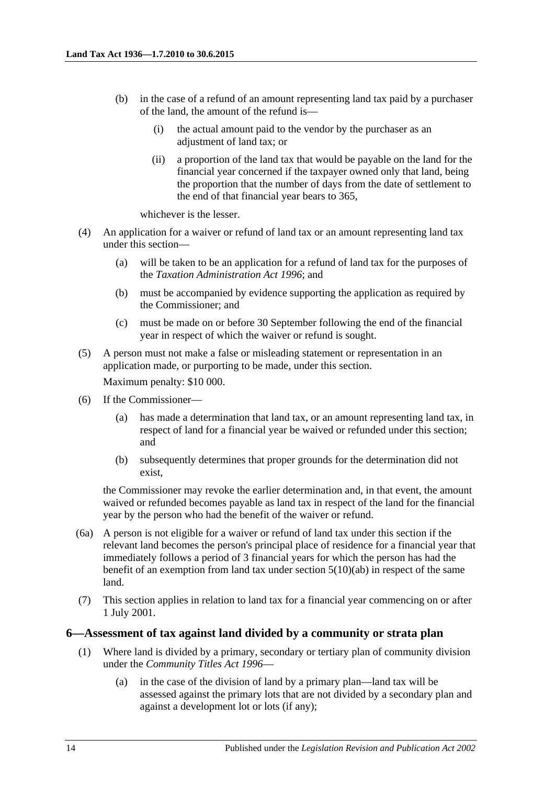- (b) in the case of a refund of an amount representing land tax paid by a purchaser of the land, the amount of the refund is—
	- (i) the actual amount paid to the vendor by the purchaser as an adjustment of land tax; or
	- (ii) a proportion of the land tax that would be payable on the land for the financial year concerned if the taxpayer owned only that land, being the proportion that the number of days from the date of settlement to the end of that financial year bears to 365,

whichever is the lesser.

- (4) An application for a waiver or refund of land tax or an amount representing land tax under this section—
	- (a) will be taken to be an application for a refund of land tax for the purposes of the *[Taxation Administration Act](http://www.legislation.sa.gov.au/index.aspx?action=legref&type=act&legtitle=Taxation%20Administration%20Act%201996) 1996*; and
	- (b) must be accompanied by evidence supporting the application as required by the Commissioner; and
	- (c) must be made on or before 30 September following the end of the financial year in respect of which the waiver or refund is sought.
- (5) A person must not make a false or misleading statement or representation in an application made, or purporting to be made, under this section. Maximum penalty: \$10 000.
- (6) If the Commissioner—
	- (a) has made a determination that land tax, or an amount representing land tax, in respect of land for a financial year be waived or refunded under this section; and
	- (b) subsequently determines that proper grounds for the determination did not exist,

the Commissioner may revoke the earlier determination and, in that event, the amount waived or refunded becomes payable as land tax in respect of the land for the financial year by the person who had the benefit of the waiver or refund.

- (6a) A person is not eligible for a waiver or refund of land tax under this section if the relevant land becomes the person's principal place of residence for a financial year that immediately follows a period of 3 financial years for which the person has had the benefit of an exemption from land tax under section [5\(10\)\(ab\)](#page-7-0) in respect of the same land.
- (7) This section applies in relation to land tax for a financial year commencing on or after 1 July 2001.

#### <span id="page-13-0"></span>**6—Assessment of tax against land divided by a community or strata plan**

- (1) Where land is divided by a primary, secondary or tertiary plan of community division under the *[Community Titles Act](http://www.legislation.sa.gov.au/index.aspx?action=legref&type=act&legtitle=Community%20Titles%20Act%201996) 1996*—
	- (a) in the case of the division of land by a primary plan—land tax will be assessed against the primary lots that are not divided by a secondary plan and against a development lot or lots (if any);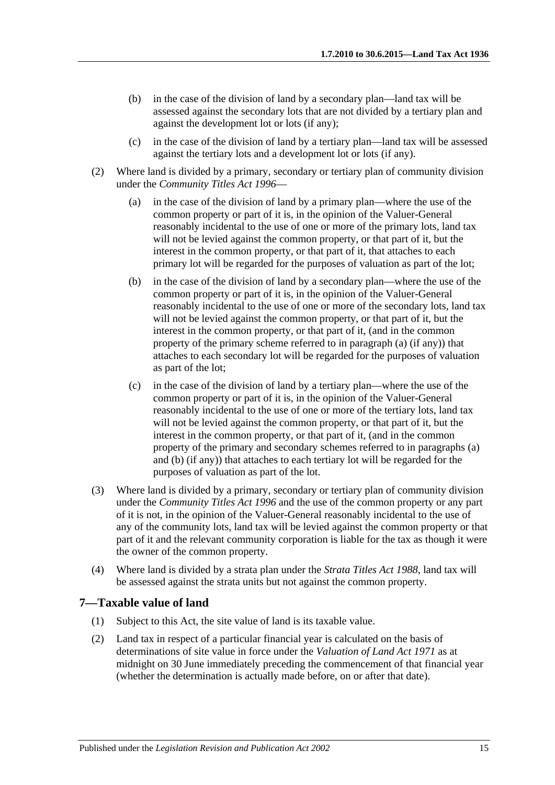- (b) in the case of the division of land by a secondary plan—land tax will be assessed against the secondary lots that are not divided by a tertiary plan and against the development lot or lots (if any);
- (c) in the case of the division of land by a tertiary plan—land tax will be assessed against the tertiary lots and a development lot or lots (if any).
- <span id="page-14-2"></span><span id="page-14-1"></span>(2) Where land is divided by a primary, secondary or tertiary plan of community division under the *[Community Titles Act](http://www.legislation.sa.gov.au/index.aspx?action=legref&type=act&legtitle=Community%20Titles%20Act%201996) 1996*—
	- (a) in the case of the division of land by a primary plan—where the use of the common property or part of it is, in the opinion of the Valuer-General reasonably incidental to the use of one or more of the primary lots, land tax will not be levied against the common property, or that part of it, but the interest in the common property, or that part of it, that attaches to each primary lot will be regarded for the purposes of valuation as part of the lot;
	- (b) in the case of the division of land by a secondary plan—where the use of the common property or part of it is, in the opinion of the Valuer-General reasonably incidental to the use of one or more of the secondary lots, land tax will not be levied against the common property, or that part of it, but the interest in the common property, or that part of it, (and in the common property of the primary scheme referred to in [paragraph](#page-14-1) (a) (if any)) that attaches to each secondary lot will be regarded for the purposes of valuation as part of the lot;
	- (c) in the case of the division of land by a tertiary plan—where the use of the common property or part of it is, in the opinion of the Valuer-General reasonably incidental to the use of one or more of the tertiary lots, land tax will not be levied against the common property, or that part of it, but the interest in the common property, or that part of it, (and in the common property of the primary and secondary schemes referred to in [paragraphs](#page-14-1) (a) and [\(b\)](#page-14-2) (if any)) that attaches to each tertiary lot will be regarded for the purposes of valuation as part of the lot.
- (3) Where land is divided by a primary, secondary or tertiary plan of community division under the *[Community Titles Act](http://www.legislation.sa.gov.au/index.aspx?action=legref&type=act&legtitle=Community%20Titles%20Act%201996) 1996* and the use of the common property or any part of it is not, in the opinion of the Valuer-General reasonably incidental to the use of any of the community lots, land tax will be levied against the common property or that part of it and the relevant community corporation is liable for the tax as though it were the owner of the common property.
- (4) Where land is divided by a strata plan under the *[Strata Titles Act](http://www.legislation.sa.gov.au/index.aspx?action=legref&type=act&legtitle=Strata%20Titles%20Act%201988) 1988*, land tax will be assessed against the strata units but not against the common property.

#### <span id="page-14-0"></span>**7—Taxable value of land**

- (1) Subject to this Act, the site value of land is its taxable value.
- <span id="page-14-3"></span>(2) Land tax in respect of a particular financial year is calculated on the basis of determinations of site value in force under the *[Valuation of Land Act](http://www.legislation.sa.gov.au/index.aspx?action=legref&type=act&legtitle=Valuation%20of%20Land%20Act%201971) 1971* as at midnight on 30 June immediately preceding the commencement of that financial year (whether the determination is actually made before, on or after that date).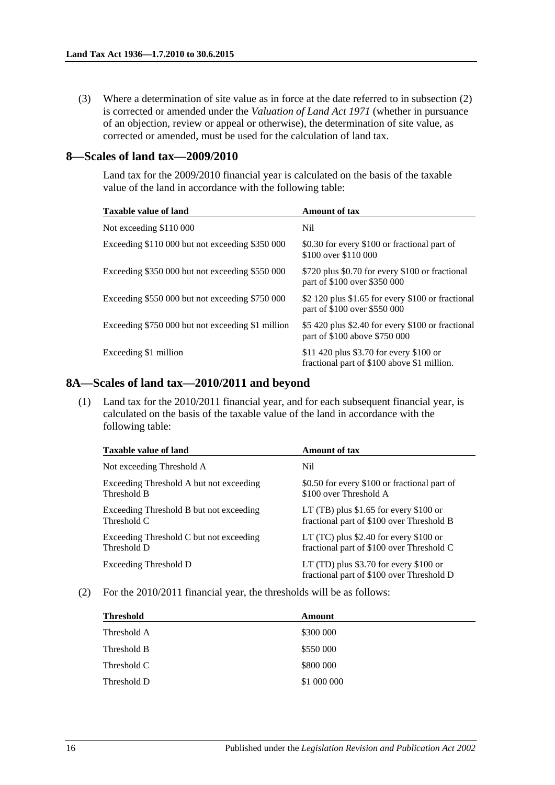(3) Where a determination of site value as in force at the date referred to in [subsection](#page-14-3) (2) is corrected or amended under the *[Valuation of Land Act](http://www.legislation.sa.gov.au/index.aspx?action=legref&type=act&legtitle=Valuation%20of%20Land%20Act%201971) 1971* (whether in pursuance of an objection, review or appeal or otherwise), the determination of site value, as corrected or amended, must be used for the calculation of land tax.

#### <span id="page-15-0"></span>**8—Scales of land tax—2009/2010**

Land tax for the 2009/2010 financial year is calculated on the basis of the taxable value of the land in accordance with the following table:

| <b>Taxable value of land</b>                      | <b>Amount of tax</b>                                                                   |
|---------------------------------------------------|----------------------------------------------------------------------------------------|
| Not exceeding \$110 000                           | Nil                                                                                    |
| Exceeding \$110 000 but not exceeding \$350 000   | \$0.30 for every \$100 or fractional part of<br>\$100 over \$110 000                   |
| Exceeding \$350 000 but not exceeding \$550 000   | \$720 plus \$0.70 for every \$100 or fractional<br>part of \$100 over \$350 000        |
| Exceeding \$550 000 but not exceeding \$750 000   | \$2 120 plus \$1.65 for every \$100 or fractional<br>part of \$100 over \$550 000      |
| Exceeding \$750 000 but not exceeding \$1 million | \$5 420 plus \$2.40 for every \$100 or fractional<br>part of \$100 above \$750 000     |
| Exceeding \$1 million                             | \$11 420 plus \$3.70 for every \$100 or<br>fractional part of \$100 above \$1 million. |

#### <span id="page-15-1"></span>**8A—Scales of land tax—2010/2011 and beyond**

(1) Land tax for the 2010/2011 financial year, and for each subsequent financial year, is calculated on the basis of the taxable value of the land in accordance with the following table:

| <b>Taxable value of land</b>            | <b>Amount of tax</b>                                                                  |
|-----------------------------------------|---------------------------------------------------------------------------------------|
| Not exceeding Threshold A               | Nil                                                                                   |
| Exceeding Threshold A but not exceeding | \$0.50 for every \$100 or fractional part of                                          |
| Threshold B                             | \$100 over Threshold A                                                                |
| Exceeding Threshold B but not exceeding | LT (TB) plus $$1.65$ for every $$100$ or                                              |
| Threshold C                             | fractional part of \$100 over Threshold B                                             |
| Exceeding Threshold C but not exceeding | LT (TC) plus $$2.40$ for every $$100$ or                                              |
| Threshold D                             | fractional part of \$100 over Threshold C                                             |
| Exceeding Threshold D                   | LT (TD) plus $$3.70$ for every $$100$ or<br>fractional part of \$100 over Threshold D |

<span id="page-15-2"></span>(2) For the 2010/2011 financial year, the thresholds will be as follows:

| <b>Threshold</b> | Amount      |
|------------------|-------------|
| Threshold A      | \$300 000   |
| Threshold B      | \$550 000   |
| Threshold C      | \$800 000   |
| Threshold D      | \$1 000 000 |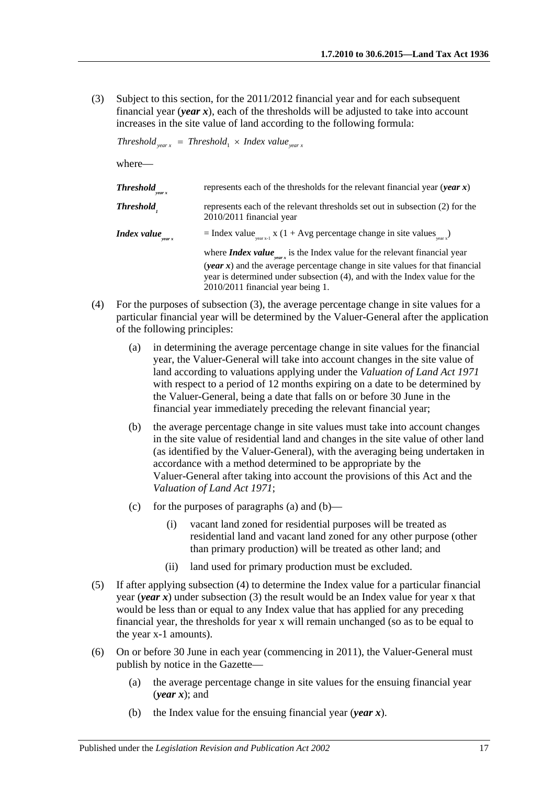<span id="page-16-1"></span>(3) Subject to this section, for the 2011/2012 financial year and for each subsequent financial year (*year*  $x$ ), each of the thresholds will be adjusted to take into account increases in the site value of land according to the following formula:

 $Threshold_{year x}$  =  $Threshold_{1} \times Index value_{year x}$ where— *Threshold x* represents each of the thresholds for the relevant financial year (*year x*) **Threshold** represents each of the relevant thresholds set out i[n subsection](#page-15-2) (2) for the 2010/2011 financial year *Index value*<sub>vear x</sub> = Index value<sub>vear x-1</sub> x (1 + Avg percentage change in site values<sub>year x</sub>) where *Index value*  $\frac{1}{2}$  is the Index value for the relevant financial year (*year x*) and the average percentage change in site values for that financial year is determined under [subsection](#page-16-0) (4), and with the Index value for the 2010/2011 financial year being 1.

- <span id="page-16-3"></span><span id="page-16-2"></span><span id="page-16-0"></span>(4) For the purposes of [subsection](#page-16-1) (3), the average percentage change in site values for a particular financial year will be determined by the Valuer-General after the application of the following principles:
	- (a) in determining the average percentage change in site values for the financial year, the Valuer-General will take into account changes in the site value of land according to valuations applying under the *[Valuation of Land Act](http://www.legislation.sa.gov.au/index.aspx?action=legref&type=act&legtitle=Valuation%20of%20Land%20Act%201971) 1971* with respect to a period of 12 months expiring on a date to be determined by the Valuer-General, being a date that falls on or before 30 June in the financial year immediately preceding the relevant financial year;
	- (b) the average percentage change in site values must take into account changes in the site value of residential land and changes in the site value of other land (as identified by the Valuer-General), with the averaging being undertaken in accordance with a method determined to be appropriate by the Valuer-General after taking into account the provisions of this Act and the *[Valuation of Land Act](http://www.legislation.sa.gov.au/index.aspx?action=legref&type=act&legtitle=Valuation%20of%20Land%20Act%201971) 1971*;
	- (c) for the purposes of [paragraphs](#page-16-2) (a) and  $(b)$ 
		- (i) vacant land zoned for residential purposes will be treated as residential land and vacant land zoned for any other purpose (other than primary production) will be treated as other land; and
		- (ii) land used for primary production must be excluded.
- (5) If after applying [subsection](#page-16-0) (4) to determine the Index value for a particular financial year (*year* x) under [subsection](#page-16-1) (3) the result would be an Index value for year x that would be less than or equal to any Index value that has applied for any preceding financial year, the thresholds for year x will remain unchanged (so as to be equal to the year x-1 amounts).
- <span id="page-16-4"></span>(6) On or before 30 June in each year (commencing in 2011), the Valuer-General must publish by notice in the Gazette—
	- (a) the average percentage change in site values for the ensuing financial year (*year x*); and
	- (b) the Index value for the ensuing financial year (*year x*).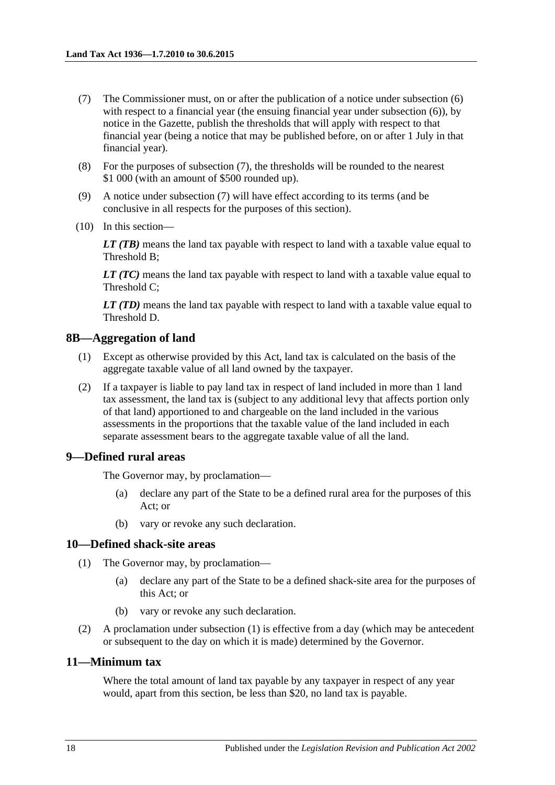- <span id="page-17-4"></span>(7) The Commissioner must, on or after the publication of a notice under [subsection](#page-16-4) (6) with respect to a financial year (the ensuing financial year under [subsection](#page-16-4)  $(6)$ ), by notice in the Gazette, publish the thresholds that will apply with respect to that financial year (being a notice that may be published before, on or after 1 July in that financial year).
- (8) For the purposes of [subsection](#page-17-4) (7), the thresholds will be rounded to the nearest \$1,000 (with an amount of \$500 rounded up).
- (9) A notice under [subsection](#page-17-4) (7) will have effect according to its terms (and be conclusive in all respects for the purposes of this section).
- (10) In this section—

*LT (TB)* means the land tax payable with respect to land with a taxable value equal to Threshold B;

*LT (TC)* means the land tax payable with respect to land with a taxable value equal to Threshold C;

*LT* (*TD*) means the land tax payable with respect to land with a taxable value equal to Threshold D.

#### <span id="page-17-0"></span>**8B—Aggregation of land**

- (1) Except as otherwise provided by this Act, land tax is calculated on the basis of the aggregate taxable value of all land owned by the taxpayer.
- (2) If a taxpayer is liable to pay land tax in respect of land included in more than 1 land tax assessment, the land tax is (subject to any additional levy that affects portion only of that land) apportioned to and chargeable on the land included in the various assessments in the proportions that the taxable value of the land included in each separate assessment bears to the aggregate taxable value of all the land.

#### <span id="page-17-1"></span>**9—Defined rural areas**

The Governor may, by proclamation—

- (a) declare any part of the State to be a defined rural area for the purposes of this Act; or
- (b) vary or revoke any such declaration.

#### <span id="page-17-5"></span><span id="page-17-2"></span>**10—Defined shack-site areas**

- (1) The Governor may, by proclamation—
	- (a) declare any part of the State to be a defined shack-site area for the purposes of this Act; or
	- (b) vary or revoke any such declaration.
- (2) A proclamation under [subsection](#page-17-5) (1) is effective from a day (which may be antecedent or subsequent to the day on which it is made) determined by the Governor.

#### <span id="page-17-3"></span>**11—Minimum tax**

Where the total amount of land tax payable by any taxpayer in respect of any year would, apart from this section, be less than \$20, no land tax is payable.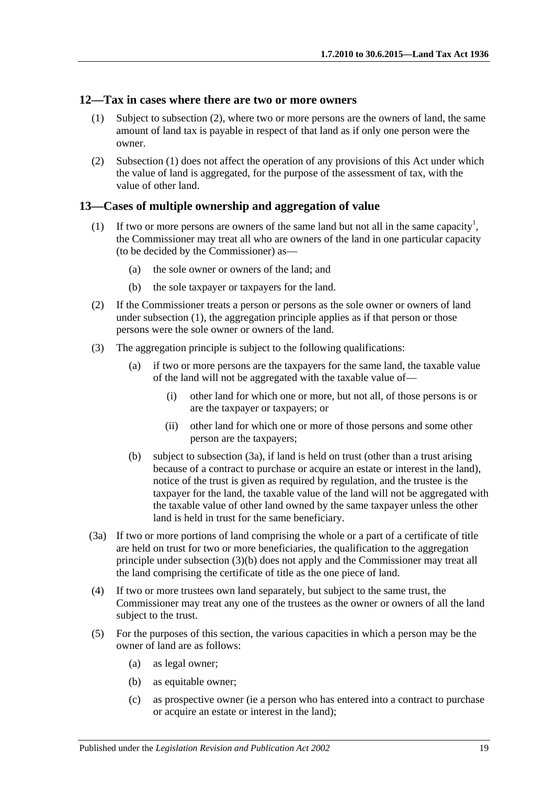#### <span id="page-18-3"></span><span id="page-18-0"></span>**12—Tax in cases where there are two or more owners**

- (1) Subject to [subsection](#page-18-2) (2), where two or more persons are the owners of land, the same amount of land tax is payable in respect of that land as if only one person were the owner.
- <span id="page-18-2"></span>(2) [Subsection](#page-18-3) (1) does not affect the operation of any provisions of this Act under which the value of land is aggregated, for the purpose of the assessment of tax, with the value of other land.

#### <span id="page-18-4"></span><span id="page-18-1"></span>**13—Cases of multiple ownership and aggregation of value**

- (1) If two or more persons are owners of the same land but not all in the same capacity<sup>1</sup>, the Commissioner may treat all who are owners of the land in one particular capacity (to be decided by the Commissioner) as—
	- (a) the sole owner or owners of the land; and
	- (b) the sole taxpayer or taxpayers for the land.
- (2) If the Commissioner treats a person or persons as the sole owner or owners of land under [subsection](#page-18-4) (1), the aggregation principle applies as if that person or those persons were the sole owner or owners of the land.
- (3) The aggregation principle is subject to the following qualifications:
	- (a) if two or more persons are the taxpayers for the same land, the taxable value of the land will not be aggregated with the taxable value of—
		- (i) other land for which one or more, but not all, of those persons is or are the taxpayer or taxpayers; or
		- (ii) other land for which one or more of those persons and some other person are the taxpayers;
	- (b) subject to [subsection](#page-18-5) (3a), if land is held on trust (other than a trust arising because of a contract to purchase or acquire an estate or interest in the land), notice of the trust is given as required by regulation, and the trustee is the taxpayer for the land, the taxable value of the land will not be aggregated with the taxable value of other land owned by the same taxpayer unless the other land is held in trust for the same beneficiary.
- <span id="page-18-6"></span><span id="page-18-5"></span>(3a) If two or more portions of land comprising the whole or a part of a certificate of title are held on trust for two or more beneficiaries, the qualification to the aggregation principle under [subsection](#page-18-6) (3)(b) does not apply and the Commissioner may treat all the land comprising the certificate of title as the one piece of land.
- (4) If two or more trustees own land separately, but subject to the same trust, the Commissioner may treat any one of the trustees as the owner or owners of all the land subject to the trust.
- <span id="page-18-7"></span>(5) For the purposes of this section, the various capacities in which a person may be the owner of land are as follows:
	- (a) as legal owner;
	- (b) as equitable owner;
	- (c) as prospective owner (ie a person who has entered into a contract to purchase or acquire an estate or interest in the land);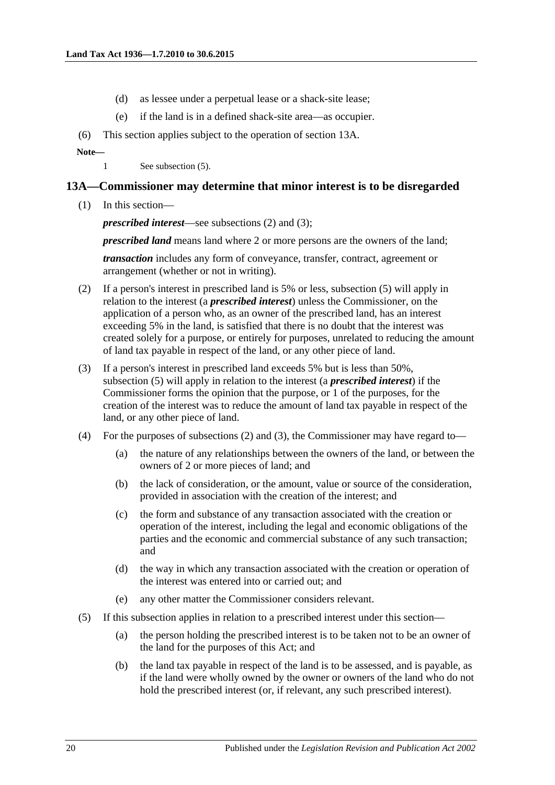- (d) as lessee under a perpetual lease or a shack-site lease;
- (e) if the land is in a defined shack-site area—as occupier.
- (6) This section applies subject to the operation of [section](#page-19-0) 13A.

**Note—**

1 See [subsection](#page-18-7) (5).

#### <span id="page-19-0"></span>**13A—Commissioner may determine that minor interest is to be disregarded**

(1) In this section—

*prescribed interest*—see [subsections](#page-19-1) (2) and [\(3\);](#page-19-2)

*prescribed land* means land where 2 or more persons are the owners of the land;

*transaction* includes any form of conveyance, transfer, contract, agreement or arrangement (whether or not in writing).

- <span id="page-19-1"></span>(2) If a person's interest in prescribed land is 5% or less, [subsection](#page-19-3) (5) will apply in relation to the interest (a *prescribed interest*) unless the Commissioner, on the application of a person who, as an owner of the prescribed land, has an interest exceeding 5% in the land, is satisfied that there is no doubt that the interest was created solely for a purpose, or entirely for purposes, unrelated to reducing the amount of land tax payable in respect of the land, or any other piece of land.
- <span id="page-19-2"></span>(3) If a person's interest in prescribed land exceeds 5% but is less than 50%, [subsection](#page-19-3) (5) will apply in relation to the interest (a *prescribed interest*) if the Commissioner forms the opinion that the purpose, or 1 of the purposes, for the creation of the interest was to reduce the amount of land tax payable in respect of the land, or any other piece of land.
- (4) For the purposes of [subsections](#page-19-1) (2) and [\(3\),](#page-19-2) the Commissioner may have regard to—
	- (a) the nature of any relationships between the owners of the land, or between the owners of 2 or more pieces of land; and
	- (b) the lack of consideration, or the amount, value or source of the consideration, provided in association with the creation of the interest; and
	- (c) the form and substance of any transaction associated with the creation or operation of the interest, including the legal and economic obligations of the parties and the economic and commercial substance of any such transaction; and
	- (d) the way in which any transaction associated with the creation or operation of the interest was entered into or carried out; and
	- (e) any other matter the Commissioner considers relevant.
- <span id="page-19-3"></span>(5) If this subsection applies in relation to a prescribed interest under this section—
	- (a) the person holding the prescribed interest is to be taken not to be an owner of the land for the purposes of this Act; and
	- (b) the land tax payable in respect of the land is to be assessed, and is payable, as if the land were wholly owned by the owner or owners of the land who do not hold the prescribed interest (or, if relevant, any such prescribed interest).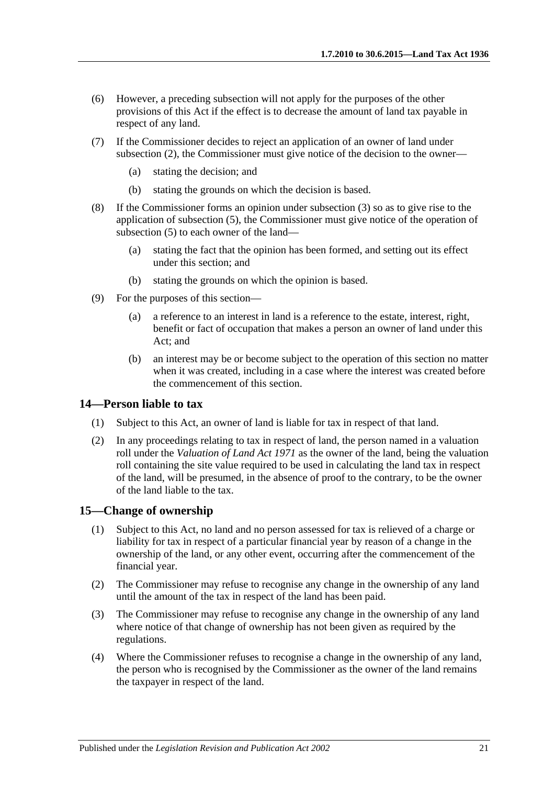- (6) However, a preceding subsection will not apply for the purposes of the other provisions of this Act if the effect is to decrease the amount of land tax payable in respect of any land.
- (7) If the Commissioner decides to reject an application of an owner of land under [subsection](#page-19-1) (2), the Commissioner must give notice of the decision to the owner—
	- (a) stating the decision; and
	- (b) stating the grounds on which the decision is based.
- (8) If the Commissioner forms an opinion under [subsection](#page-19-2) (3) so as to give rise to the application of [subsection](#page-19-3) (5), the Commissioner must give notice of the operation of [subsection](#page-19-3) (5) to each owner of the land—
	- (a) stating the fact that the opinion has been formed, and setting out its effect under this section; and
	- (b) stating the grounds on which the opinion is based.
- (9) For the purposes of this section—
	- (a) a reference to an interest in land is a reference to the estate, interest, right, benefit or fact of occupation that makes a person an owner of land under this Act; and
	- (b) an interest may be or become subject to the operation of this section no matter when it was created, including in a case where the interest was created before the commencement of this section.

#### <span id="page-20-0"></span>**14—Person liable to tax**

- (1) Subject to this Act, an owner of land is liable for tax in respect of that land.
- (2) In any proceedings relating to tax in respect of land, the person named in a valuation roll under the *[Valuation of Land Act](http://www.legislation.sa.gov.au/index.aspx?action=legref&type=act&legtitle=Valuation%20of%20Land%20Act%201971) 1971* as the owner of the land, being the valuation roll containing the site value required to be used in calculating the land tax in respect of the land, will be presumed, in the absence of proof to the contrary, to be the owner of the land liable to the tax.

#### <span id="page-20-1"></span>**15—Change of ownership**

- (1) Subject to this Act, no land and no person assessed for tax is relieved of a charge or liability for tax in respect of a particular financial year by reason of a change in the ownership of the land, or any other event, occurring after the commencement of the financial year.
- (2) The Commissioner may refuse to recognise any change in the ownership of any land until the amount of the tax in respect of the land has been paid.
- (3) The Commissioner may refuse to recognise any change in the ownership of any land where notice of that change of ownership has not been given as required by the regulations.
- (4) Where the Commissioner refuses to recognise a change in the ownership of any land, the person who is recognised by the Commissioner as the owner of the land remains the taxpayer in respect of the land.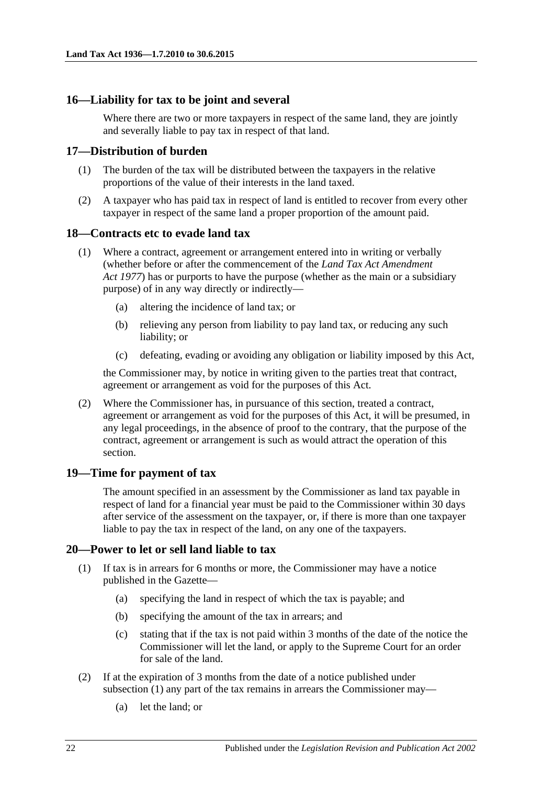#### <span id="page-21-0"></span>**16—Liability for tax to be joint and several**

Where there are two or more taxpayers in respect of the same land, they are jointly and severally liable to pay tax in respect of that land.

#### <span id="page-21-1"></span>**17—Distribution of burden**

- (1) The burden of the tax will be distributed between the taxpayers in the relative proportions of the value of their interests in the land taxed.
- (2) A taxpayer who has paid tax in respect of land is entitled to recover from every other taxpayer in respect of the same land a proper proportion of the amount paid.

#### <span id="page-21-2"></span>**18—Contracts etc to evade land tax**

- (1) Where a contract, agreement or arrangement entered into in writing or verbally (whether before or after the commencement of the *Land Tax Act Amendment Act 1977*) has or purports to have the purpose (whether as the main or a subsidiary purpose) of in any way directly or indirectly—
	- (a) altering the incidence of land tax; or
	- (b) relieving any person from liability to pay land tax, or reducing any such liability; or
	- (c) defeating, evading or avoiding any obligation or liability imposed by this Act,

the Commissioner may, by notice in writing given to the parties treat that contract, agreement or arrangement as void for the purposes of this Act.

(2) Where the Commissioner has, in pursuance of this section, treated a contract, agreement or arrangement as void for the purposes of this Act, it will be presumed, in any legal proceedings, in the absence of proof to the contrary, that the purpose of the contract, agreement or arrangement is such as would attract the operation of this section.

#### <span id="page-21-3"></span>**19—Time for payment of tax**

The amount specified in an assessment by the Commissioner as land tax payable in respect of land for a financial year must be paid to the Commissioner within 30 days after service of the assessment on the taxpayer, or, if there is more than one taxpayer liable to pay the tax in respect of the land, on any one of the taxpayers.

#### <span id="page-21-5"></span><span id="page-21-4"></span>**20—Power to let or sell land liable to tax**

- (1) If tax is in arrears for 6 months or more, the Commissioner may have a notice published in the Gazette—
	- (a) specifying the land in respect of which the tax is payable; and
	- (b) specifying the amount of the tax in arrears; and
	- (c) stating that if the tax is not paid within 3 months of the date of the notice the Commissioner will let the land, or apply to the Supreme Court for an order for sale of the land.
- (2) If at the expiration of 3 months from the date of a notice published under [subsection](#page-21-5) (1) any part of the tax remains in arrears the Commissioner may—
	- (a) let the land; or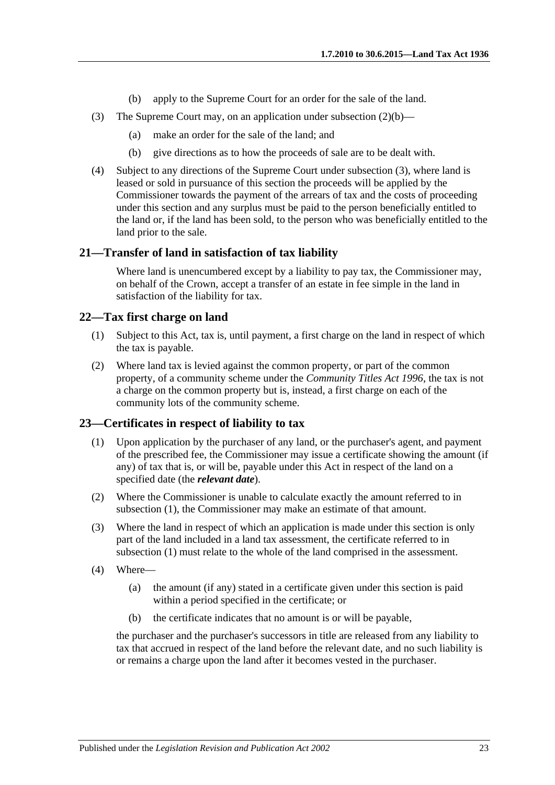- (b) apply to the Supreme Court for an order for the sale of the land.
- <span id="page-22-4"></span><span id="page-22-3"></span>(3) The Supreme Court may, on an application under [subsection](#page-22-3) (2)(b)—
	- (a) make an order for the sale of the land; and
	- (b) give directions as to how the proceeds of sale are to be dealt with.
- (4) Subject to any directions of the Supreme Court under [subsection](#page-22-4) (3), where land is leased or sold in pursuance of this section the proceeds will be applied by the Commissioner towards the payment of the arrears of tax and the costs of proceeding under this section and any surplus must be paid to the person beneficially entitled to the land or, if the land has been sold, to the person who was beneficially entitled to the land prior to the sale.

#### <span id="page-22-0"></span>**21—Transfer of land in satisfaction of tax liability**

Where land is unencumbered except by a liability to pay tax, the Commissioner may, on behalf of the Crown, accept a transfer of an estate in fee simple in the land in satisfaction of the liability for tax.

#### <span id="page-22-1"></span>**22—Tax first charge on land**

- (1) Subject to this Act, tax is, until payment, a first charge on the land in respect of which the tax is payable.
- (2) Where land tax is levied against the common property, or part of the common property, of a community scheme under the *[Community Titles Act](http://www.legislation.sa.gov.au/index.aspx?action=legref&type=act&legtitle=Community%20Titles%20Act%201996) 1996*, the tax is not a charge on the common property but is, instead, a first charge on each of the community lots of the community scheme.

#### <span id="page-22-5"></span><span id="page-22-2"></span>**23—Certificates in respect of liability to tax**

- (1) Upon application by the purchaser of any land, or the purchaser's agent, and payment of the prescribed fee, the Commissioner may issue a certificate showing the amount (if any) of tax that is, or will be, payable under this Act in respect of the land on a specified date (the *relevant date*).
- (2) Where the Commissioner is unable to calculate exactly the amount referred to in [subsection](#page-22-5) (1), the Commissioner may make an estimate of that amount.
- (3) Where the land in respect of which an application is made under this section is only part of the land included in a land tax assessment, the certificate referred to in [subsection](#page-22-5) (1) must relate to the whole of the land comprised in the assessment.
- (4) Where—
	- (a) the amount (if any) stated in a certificate given under this section is paid within a period specified in the certificate; or
	- (b) the certificate indicates that no amount is or will be payable,

the purchaser and the purchaser's successors in title are released from any liability to tax that accrued in respect of the land before the relevant date, and no such liability is or remains a charge upon the land after it becomes vested in the purchaser.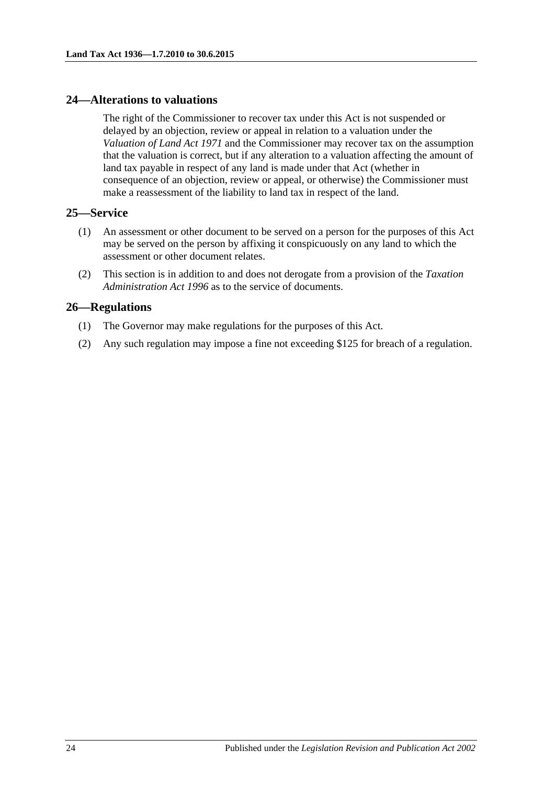#### <span id="page-23-0"></span>**24—Alterations to valuations**

The right of the Commissioner to recover tax under this Act is not suspended or delayed by an objection, review or appeal in relation to a valuation under the *[Valuation of Land Act](http://www.legislation.sa.gov.au/index.aspx?action=legref&type=act&legtitle=Valuation%20of%20Land%20Act%201971) 1971* and the Commissioner may recover tax on the assumption that the valuation is correct, but if any alteration to a valuation affecting the amount of land tax payable in respect of any land is made under that Act (whether in consequence of an objection, review or appeal, or otherwise) the Commissioner must make a reassessment of the liability to land tax in respect of the land.

#### <span id="page-23-1"></span>**25—Service**

- (1) An assessment or other document to be served on a person for the purposes of this Act may be served on the person by affixing it conspicuously on any land to which the assessment or other document relates.
- (2) This section is in addition to and does not derogate from a provision of the *[Taxation](http://www.legislation.sa.gov.au/index.aspx?action=legref&type=act&legtitle=Taxation%20Administration%20Act%201996)  [Administration Act](http://www.legislation.sa.gov.au/index.aspx?action=legref&type=act&legtitle=Taxation%20Administration%20Act%201996) 1996* as to the service of documents.

#### <span id="page-23-2"></span>**26—Regulations**

- (1) The Governor may make regulations for the purposes of this Act.
- (2) Any such regulation may impose a fine not exceeding \$125 for breach of a regulation.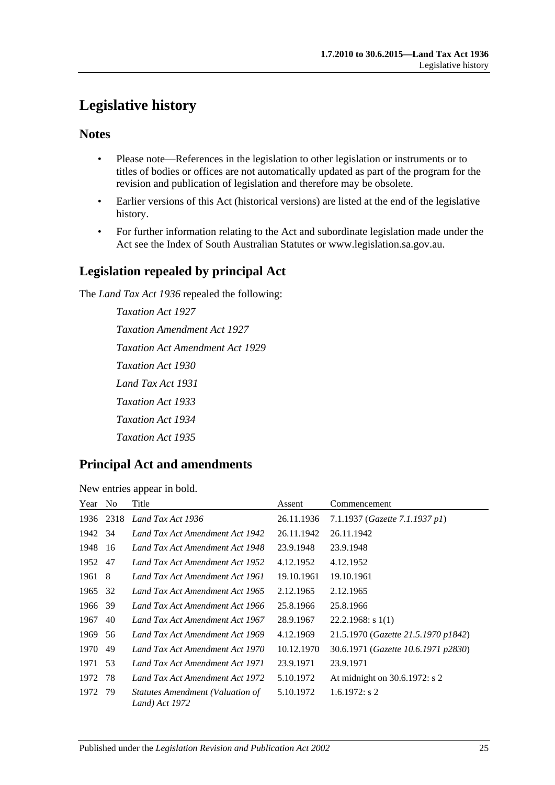## <span id="page-24-0"></span>**Legislative history**

### **Notes**

- Please note—References in the legislation to other legislation or instruments or to titles of bodies or offices are not automatically updated as part of the program for the revision and publication of legislation and therefore may be obsolete.
- Earlier versions of this Act (historical versions) are listed at the end of the legislative history.
- For further information relating to the Act and subordinate legislation made under the Act see the Index of South Australian Statutes or www.legislation.sa.gov.au.

## **Legislation repealed by principal Act**

The *Land Tax Act 1936* repealed the following:

*Taxation Act 1927 Taxation Amendment Act 1927 Taxation Act Amendment Act 1929 Taxation Act 1930 Land Tax Act 1931 Taxation Act 1933 Taxation Act 1934 Taxation Act 1935*

## **Principal Act and amendments**

New entries appear in bold.

| Year | N <sub>0</sub> | Title                                              | Assent     | Commencement                                 |
|------|----------------|----------------------------------------------------|------------|----------------------------------------------|
|      | 1936 2318      | Land Tax Act 1936                                  | 26.11.1936 | 7.1.1937 ( <i>Gazette 7.1.1937 p1</i> )      |
| 1942 | 34             | Land Tax Act Amendment Act 1942                    | 26.11.1942 | 26.11.1942                                   |
| 1948 | 16             | Land Tax Act Amendment Act 1948                    | 23.9.1948  | 23.9.1948                                    |
| 1952 | 47             | Land Tax Act Amendment Act 1952                    | 4.12.1952  | 4.12.1952                                    |
| 1961 | 8              | Land Tax Act Amendment Act 1961                    | 19.10.1961 | 19.10.1961                                   |
| 1965 | 32             | Land Tax Act Amendment Act 1965                    | 2.12.1965  | 2.12.1965                                    |
| 1966 | 39             | Land Tax Act Amendment Act 1966                    | 25.8.1966  | 25.8.1966                                    |
| 1967 | 40             | Land Tax Act Amendment Act 1967                    | 28.9.1967  | $22.2.1968$ : s 1(1)                         |
| 1969 | 56             | Land Tax Act Amendment Act 1969                    | 4.12.1969  | 21.5.1970 (Gazette 21.5.1970 p1842)          |
| 1970 | 49             | Land Tax Act Amendment Act 1970                    | 10.12.1970 | 30.6.1971 ( <i>Gazette 10.6.1971 p2830</i> ) |
| 1971 | 53             | Land Tax Act Amendment Act 1971                    | 23.9.1971  | 23.9.1971                                    |
| 1972 | 78             | Land Tax Act Amendment Act 1972                    | 5.10.1972  | At midnight on 30.6.1972: s 2                |
| 1972 | 79             | Statutes Amendment (Valuation of<br>Land) Act 1972 | 5.10.1972  | $1.6.1972$ : s 2                             |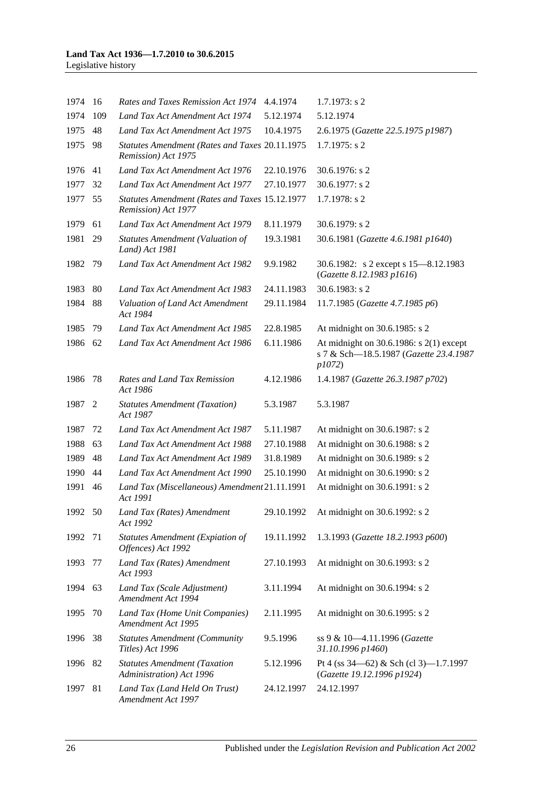| 1974    | -16 | Rates and Taxes Remission Act 1974                                    | 4.4.1974   | $1.7.1973$ : s 2                                                                                 |
|---------|-----|-----------------------------------------------------------------------|------------|--------------------------------------------------------------------------------------------------|
| 1974    | 109 | Land Tax Act Amendment Act 1974                                       | 5.12.1974  | 5.12.1974                                                                                        |
| 1975    | 48  | Land Tax Act Amendment Act 1975                                       | 10.4.1975  | 2.6.1975 (Gazette 22.5.1975 p1987)                                                               |
| 1975    | 98  | Statutes Amendment (Rates and Taxes 20.11.1975<br>Remission) Act 1975 |            | $1.7.1975$ : s 2                                                                                 |
| 1976    | 41  | Land Tax Act Amendment Act 1976                                       | 22.10.1976 | $30.6.1976$ : s 2                                                                                |
| 1977    | 32  | Land Tax Act Amendment Act 1977                                       | 27.10.1977 | $30.6.1977$ : s 2                                                                                |
| 1977    | 55  | Statutes Amendment (Rates and Taxes 15.12.1977<br>Remission) Act 1977 |            | $1.7.1978$ : s 2                                                                                 |
| 1979    | 61  | Land Tax Act Amendment Act 1979                                       | 8.11.1979  | $30.6.1979$ : s 2                                                                                |
| 1981    | 29  | Statutes Amendment (Valuation of<br>Land) Act 1981                    | 19.3.1981  | 30.6.1981 (Gazette 4.6.1981 p1640)                                                               |
| 1982    | 79  | Land Tax Act Amendment Act 1982                                       | 9.9.1982   | 30.6.1982: s 2 except s 15-8.12.1983<br>(Gazette 8.12.1983 p1616)                                |
| 1983    | 80  | Land Tax Act Amendment Act 1983                                       | 24.11.1983 | $30.6.1983$ : s 2                                                                                |
| 1984    | 88  | Valuation of Land Act Amendment<br>Act 1984                           | 29.11.1984 | 11.7.1985 (Gazette 4.7.1985 p6)                                                                  |
| 1985    | 79  | Land Tax Act Amendment Act 1985                                       | 22.8.1985  | At midnight on 30.6.1985: s 2                                                                    |
| 1986    | 62  | Land Tax Act Amendment Act 1986                                       | 6.11.1986  | At midnight on $30.6.1986$ : s $2(1)$ except<br>s 7 & Sch-18.5.1987 (Gazette 23.4.1987<br>p1072) |
| 1986    | 78  | Rates and Land Tax Remission<br>Act 1986                              | 4.12.1986  | 1.4.1987 (Gazette 26.3.1987 p702)                                                                |
| 1987    | 2   | <b>Statutes Amendment (Taxation)</b><br>Act 1987                      | 5.3.1987   | 5.3.1987                                                                                         |
| 1987    | 72  | Land Tax Act Amendment Act 1987                                       | 5.11.1987  | At midnight on 30.6.1987: s 2                                                                    |
| 1988    | 63  | Land Tax Act Amendment Act 1988                                       | 27.10.1988 | At midnight on 30.6.1988: s 2                                                                    |
| 1989    | 48  | Land Tax Act Amendment Act 1989                                       | 31.8.1989  | At midnight on 30.6.1989: s 2                                                                    |
| 1990    | 44  | Land Tax Act Amendment Act 1990                                       | 25.10.1990 | At midnight on 30.6.1990: s 2                                                                    |
| 1991    | 46  | Land Tax (Miscellaneous) Amendment 21.11.1991<br>Act 1991             |            | At midnight on 30.6.1991: s 2                                                                    |
| 1992 50 |     | Land Tax (Rates) Amendment<br>Act 1992                                | 29.10.1992 | At midnight on 30.6.1992: s 2                                                                    |
| 1992 71 |     | <b>Statutes Amendment (Expiation of</b><br>Offences) Act 1992         | 19.11.1992 | 1.3.1993 (Gazette 18.2.1993 p600)                                                                |
| 1993    | 77  | Land Tax (Rates) Amendment<br>Act 1993                                | 27.10.1993 | At midnight on 30.6.1993: s 2                                                                    |
| 1994    | 63  | Land Tax (Scale Adjustment)<br>Amendment Act 1994                     | 3.11.1994  | At midnight on 30.6.1994: s 2                                                                    |
| 1995    | 70  | Land Tax (Home Unit Companies)<br>Amendment Act 1995                  | 2.11.1995  | At midnight on 30.6.1995: s 2                                                                    |
| 1996    | 38  | <b>Statutes Amendment (Community</b><br>Titles) Act 1996              | 9.5.1996   | ss 9 & 10-4.11.1996 (Gazette<br>31.10.1996 p1460)                                                |
| 1996    | 82  | <b>Statutes Amendment (Taxation</b><br>Administration) Act 1996       | 5.12.1996  | Pt 4 (ss $34-62$ ) & Sch (cl 3)-1.7.1997<br>(Gazette 19.12.1996 p1924)                           |
| 1997    | 81  | Land Tax (Land Held On Trust)<br>Amendment Act 1997                   | 24.12.1997 | 24.12.1997                                                                                       |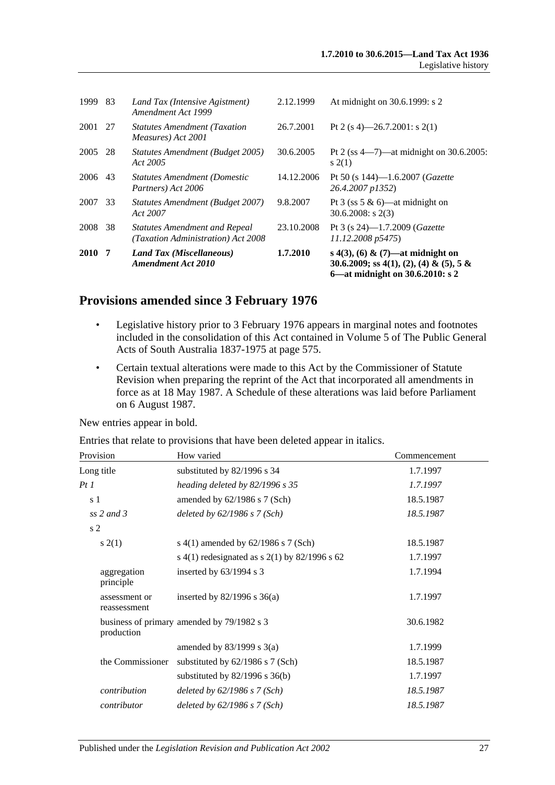| <b>2010</b> | 7  | Land Tax (Miscellaneous)<br><b>Amendment Act 2010</b>                      | 1.7.2010   | s 4(3), (6) & (7)—at midnight on<br>30.6.2009; ss 4(1), (2), (4) & (5), 5 &<br>6—at midnight on 30.6.2010: s 2 |
|-------------|----|----------------------------------------------------------------------------|------------|----------------------------------------------------------------------------------------------------------------|
| 2008        | 38 | <b>Statutes Amendment and Repeal</b><br>(Taxation Administration) Act 2008 | 23.10.2008 | Pt 3 (s $24$ )-1.7.2009 ( <i>Gazette</i><br>11.12.2008 p5475)                                                  |
| 2007        | 33 | Statutes Amendment (Budget 2007)<br>Act 2007                               | 9.8.2007   | Pt 3 (ss $5 \& 6$ )—at midnight on<br>$30.6.2008$ : s $2(3)$                                                   |
| 2006        | 43 | <b>Statutes Amendment (Domestic</b><br>Partners) Act 2006                  | 14.12.2006 | Pt 50 (s $144$ )-1.6.2007 ( <i>Gazette</i><br>26.4.2007 p1352)                                                 |
| 2005        | 28 | Statutes Amendment (Budget 2005)<br>Act 2005                               | 30.6.2005  | Pt 2 (ss $4-7$ )—at midnight on 30.6.2005:<br>s(2(1))                                                          |
| 2001        | 27 | <b>Statutes Amendment (Taxation)</b><br>Measures) Act 2001                 | 26.7.2001  | Pt 2 (s 4)—26.7.2001: s 2(1)                                                                                   |
| 1999        | 83 | Land Tax (Intensive Agistment)<br>Amendment Act 1999                       | 2.12.1999  | At midnight on 30.6.1999: s 2                                                                                  |
|             |    |                                                                            |            |                                                                                                                |

## **Provisions amended since 3 February 1976**

- Legislative history prior to 3 February 1976 appears in marginal notes and footnotes included in the consolidation of this Act contained in Volume 5 of The Public General Acts of South Australia 1837-1975 at page 575.
- Certain textual alterations were made to this Act by the Commissioner of Statute Revision when preparing the reprint of the Act that incorporated all amendments in force as at 18 May 1987. A Schedule of these alterations was laid before Parliament on 6 August 1987.

New entries appear in bold.

Entries that relate to provisions that have been deleted appear in italics.

| Provision                     | How varied                                    | Commencement |
|-------------------------------|-----------------------------------------------|--------------|
| Long title                    | substituted by 82/1996 s 34                   | 1.7.1997     |
| PtI                           | heading deleted by 82/1996 s 35               | 1.7.1997     |
| s 1                           | amended by 62/1986 s 7 (Sch)                  | 18.5.1987    |
| $ss$ 2 and 3                  | deleted by $62/1986$ s $7(Sch)$               | 18.5.1987    |
| s <sub>2</sub>                |                                               |              |
| s(2(1))                       | s 4(1) amended by $62/1986$ s 7 (Sch)         | 18.5.1987    |
|                               | s 4(1) redesignated as s 2(1) by 82/1996 s 62 | 1.7.1997     |
| aggregation<br>principle      | inserted by $63/1994$ s 3                     | 1.7.1994     |
| assessment or<br>reassessment | inserted by $82/1996$ s $36(a)$               | 1.7.1997     |
| production                    | business of primary amended by 79/1982 s 3    | 30.6.1982    |
|                               | amended by $83/1999$ s $3(a)$                 | 1.7.1999     |
| the Commissioner              | substituted by $62/1986$ s 7 (Sch)            | 18.5.1987    |
|                               | substituted by $82/1996$ s $36(b)$            | 1.7.1997     |
| contribution                  | deleted by $62/1986$ s $7 (Sch)$              | 18.5.1987    |
| contributor                   | deleted by $62/1986$ s $7(Sch)$               | 18.5.1987    |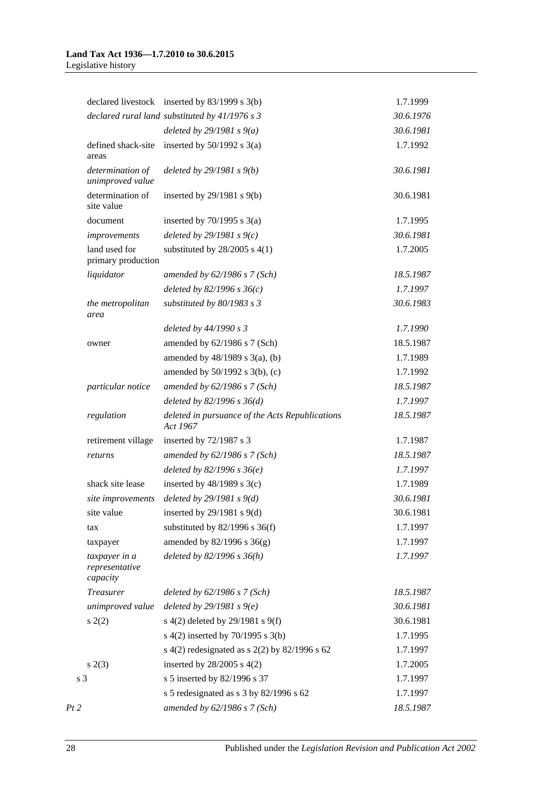|      |                                             | declared livestock inserted by 83/1999 s 3(b)               | 1.7.1999  |
|------|---------------------------------------------|-------------------------------------------------------------|-----------|
|      |                                             | declared rural land substituted by 41/1976 s 3              | 30.6.1976 |
|      |                                             | deleted by $29/1981 s 9(a)$                                 | 30.6.1981 |
|      | defined shack-site<br>areas                 | inserted by $50/1992$ s $3(a)$                              | 1.7.1992  |
|      | determination of<br>unimproved value        | deleted by $29/1981 s 9(b)$                                 | 30.6.1981 |
|      | determination of<br>site value              | inserted by $29/1981$ s $9(b)$                              | 30.6.1981 |
|      | document                                    | inserted by $70/1995$ s $3(a)$                              | 1.7.1995  |
|      | improvements                                | deleted by $29/1981 s$ 9(c)                                 | 30.6.1981 |
|      | land used for<br>primary production         | substituted by $28/2005$ s 4(1)                             | 1.7.2005  |
|      | liquidator                                  | amended by $62/1986$ s $7$ (Sch)                            | 18.5.1987 |
|      |                                             | deleted by $82/1996 s 36(c)$                                | 1.7.1997  |
|      | the metropolitan<br>area                    | substituted by 80/1983 s 3                                  | 30.6.1983 |
|      |                                             | deleted by 44/1990 s 3                                      | 1.7.1990  |
|      | owner                                       | amended by 62/1986 s 7 (Sch)                                | 18.5.1987 |
|      |                                             | amended by $48/1989$ s $3(a)$ , (b)                         | 1.7.1989  |
|      |                                             | amended by $50/1992$ s $3(b)$ , (c)                         | 1.7.1992  |
|      | particular notice                           | amended by 62/1986 s 7 (Sch)                                | 18.5.1987 |
|      |                                             | deleted by $82/1996 s 36(d)$                                | 1.7.1997  |
|      | regulation                                  | deleted in pursuance of the Acts Republications<br>Act 1967 | 18.5.1987 |
|      | retirement village                          | inserted by 72/1987 s 3                                     | 1.7.1987  |
|      | returns                                     | amended by $62/1986$ s $7$ (Sch)                            | 18.5.1987 |
|      |                                             | deleted by $82/1996 s 36(e)$                                | 1.7.1997  |
|      | shack site lease                            | inserted by $48/1989$ s $3(c)$                              | 1.7.1989  |
|      | site improvements                           | deleted by $29/1981 s 9(d)$                                 | 30.6.1981 |
|      | site value                                  | inserted by $29/1981$ s $9(d)$                              | 30.6.1981 |
|      | tax                                         | substituted by $82/1996$ s $36(f)$                          | 1.7.1997  |
|      | taxpayer                                    | amended by 82/1996 s 36(g)                                  | 1.7.1997  |
|      | taxpayer in a<br>representative<br>capacity | deleted by $82/1996 s 36(h)$                                | 1.7.1997  |
|      | <b>Treasurer</b>                            | deleted by $62/1986$ s $7 (Sch)$                            | 18.5.1987 |
|      | unimproved value                            | deleted by $29/1981 s9(e)$                                  | 30.6.1981 |
|      | s(2)                                        | s 4(2) deleted by 29/1981 s 9(f)                            | 30.6.1981 |
|      |                                             | s 4(2) inserted by 70/1995 s 3(b)                           | 1.7.1995  |
|      |                                             | s 4(2) redesignated as s 2(2) by 82/1996 s 62               | 1.7.1997  |
|      | s(2(3))                                     | inserted by $28/2005$ s $4(2)$                              | 1.7.2005  |
|      | s 3                                         | s 5 inserted by 82/1996 s 37                                | 1.7.1997  |
|      |                                             | s 5 redesignated as s 3 by 82/1996 s 62                     | 1.7.1997  |
| Pt 2 |                                             | amended by $62/1986$ s $7$ (Sch)                            | 18.5.1987 |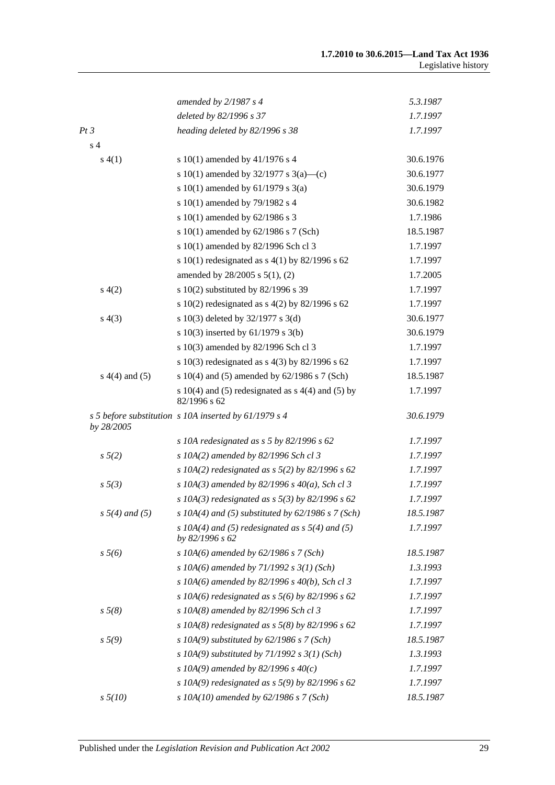|                     | amended by $2/1987 s 4$                                                | 5.3.1987  |
|---------------------|------------------------------------------------------------------------|-----------|
|                     | deleted by 82/1996 s 37                                                | 1.7.1997  |
| Pt3                 | heading deleted by 82/1996 s 38                                        | 1.7.1997  |
| s <sub>4</sub>      |                                                                        |           |
| s(4(1))             | s $10(1)$ amended by $41/1976$ s 4                                     | 30.6.1976 |
|                     | s 10(1) amended by 32/1977 s 3(a)—(c)                                  | 30.6.1977 |
|                     | s 10(1) amended by 61/1979 s 3(a)                                      | 30.6.1979 |
|                     | s 10(1) amended by 79/1982 s 4                                         | 30.6.1982 |
|                     | s $10(1)$ amended by $62/1986$ s 3                                     | 1.7.1986  |
|                     | s $10(1)$ amended by $62/1986$ s 7 (Sch)                               | 18.5.1987 |
|                     | s 10(1) amended by 82/1996 Sch cl 3                                    | 1.7.1997  |
|                     | s 10(1) redesignated as $s$ 4(1) by 82/1996 s 62                       | 1.7.1997  |
|                     | amended by 28/2005 s 5(1), (2)                                         | 1.7.2005  |
| s(4(2)              | s 10(2) substituted by 82/1996 s 39                                    | 1.7.1997  |
|                     | s 10(2) redesignated as s 4(2) by 82/1996 s 62                         | 1.7.1997  |
| s(4(3))             | s 10(3) deleted by 32/1977 s 3(d)                                      | 30.6.1977 |
|                     | s 10(3) inserted by 61/1979 s 3(b)                                     | 30.6.1979 |
|                     | s 10(3) amended by 82/1996 Sch cl 3                                    | 1.7.1997  |
|                     | s 10(3) redesignated as s 4(3) by 82/1996 s 62                         | 1.7.1997  |
| $s(4)$ and (5)      | s 10(4) and (5) amended by 62/1986 s 7 (Sch)                           | 18.5.1987 |
|                     | s 10(4) and (5) redesignated as $s$ 4(4) and (5) by<br>82/1996 s 62    | 1.7.1997  |
| by 28/2005          | s 5 before substitution s 10A inserted by 61/1979 s 4                  | 30.6.1979 |
|                     | s 10A redesignated as $s$ 5 by 82/1996 $s$ 62                          | 1.7.1997  |
| $s\,5(2)$           | s 10A(2) amended by 82/1996 Sch cl 3                                   | 1.7.1997  |
|                     | s 10A(2) redesignated as $s$ 5(2) by 82/1996 s 62                      | 1.7.1997  |
| $s \, 5(3)$         | s 10A(3) amended by 82/1996 s 40(a), Sch cl 3                          | 1.7.1997  |
|                     | s 10A(3) redesignated as $s$ 5(3) by 82/1996 s 62                      | 1.7.1997  |
| $s 5(4)$ and (5)    | s $10A(4)$ and (5) substituted by 62/1986 s 7 (Sch)                    | 18.5.1987 |
|                     | s $10A(4)$ and (5) redesignated as s $5(4)$ and (5)<br>by 82/1996 s 62 | 1.7.1997  |
| $s\,5(6)$           | s 10A(6) amended by $62/1986$ s 7 (Sch)                                | 18.5.1987 |
|                     | s 10A(6) amended by $71/1992$ s $3(1)$ (Sch)                           | 1.3.1993  |
|                     | s 10A(6) amended by 82/1996 s 40(b), Sch cl 3                          | 1.7.1997  |
|                     | s 10A(6) redesignated as $s$ 5(6) by 82/1996 s 62                      | 1.7.1997  |
| $s \, 5(8)$         | s 10A(8) amended by 82/1996 Sch cl 3                                   | 1.7.1997  |
|                     | s 10A(8) redesignated as $s$ 5(8) by 82/1996 s 62                      | 1.7.1997  |
| $s\,5(9)$           | s 10A(9) substituted by $62/1986$ s 7 (Sch)                            | 18.5.1987 |
|                     | s 10A(9) substituted by 71/1992 s $3(1)$ (Sch)                         | 1.3.1993  |
|                     | s 10A(9) amended by 82/1996 s $40(c)$                                  | 1.7.1997  |
|                     | s 10A(9) redesignated as $s$ 5(9) by 82/1996 s 62                      | 1.7.1997  |
| $s \frac{5(10)}{2}$ | s $10A(10)$ amended by $62/1986$ s $7 (Sch)$                           | 18.5.1987 |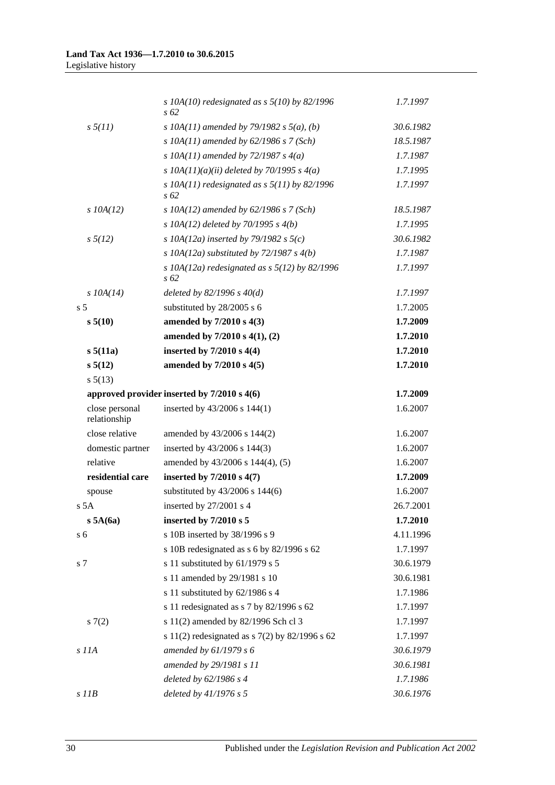|                                | s $10A(10)$ redesignated as s $5(10)$ by 82/1996<br>s 62   | 1.7.1997  |
|--------------------------------|------------------------------------------------------------|-----------|
| $s \frac{5}{11}$               | s 10A(11) amended by 79/1982 s $5(a)$ , (b)                | 30.6.1982 |
|                                | s 10A(11) amended by $62/1986$ s 7 (Sch)                   | 18.5.1987 |
|                                | s 10A(11) amended by 72/1987 s $4(a)$                      | 1.7.1987  |
|                                | s $10A(11)(a)(ii)$ deleted by 70/1995 s $4(a)$             | 1.7.1995  |
|                                | s $10A(11)$ redesignated as s $5(11)$ by 82/1996<br>s 62   | 1.7.1997  |
| $s$ 10A(12)                    | s 10A(12) amended by $62/1986$ s 7 (Sch)                   | 18.5.1987 |
|                                | s 10A(12) deleted by 70/1995 s $4(b)$                      | 1.7.1995  |
| $s\,5(12)$                     | s 10A(12a) inserted by 79/1982 s $5(c)$                    | 30.6.1982 |
|                                | s $10A(12a)$ substituted by 72/1987 s $4(b)$               | 1.7.1987  |
|                                | s 10A(12a) redesignated as s $5(12)$ by 82/1996<br>$s\,62$ | 1.7.1997  |
| $s$ 10A(14)                    | deleted by $82/1996 s 40(d)$                               | 1.7.1997  |
| s <sub>5</sub>                 | substituted by 28/2005 s 6                                 | 1.7.2005  |
| s 5(10)                        | amended by 7/2010 s 4(3)                                   | 1.7.2009  |
|                                | amended by $7/2010 s 4(1), (2)$                            | 1.7.2010  |
| s 5(11a)                       | inserted by $7/2010$ s $4(4)$                              | 1.7.2010  |
| $s\,5(12)$                     | amended by 7/2010 s 4(5)                                   | 1.7.2010  |
| $s\,5(13)$                     |                                                            |           |
|                                | approved provider inserted by 7/2010 s 4(6)                | 1.7.2009  |
| close personal<br>relationship | inserted by 43/2006 s 144(1)                               | 1.6.2007  |
| close relative                 | amended by 43/2006 s 144(2)                                | 1.6.2007  |
| domestic partner               | inserted by 43/2006 s 144(3)                               | 1.6.2007  |
| relative                       | amended by 43/2006 s 144(4), (5)                           | 1.6.2007  |
| residential care               | inserted by $7/2010$ s $4(7)$                              | 1.7.2009  |
| spouse                         | substituted by 43/2006 s 144(6)                            | 1.6.2007  |
| s <sub>5A</sub>                | inserted by 27/2001 s 4                                    | 26.7.2001 |
| s 5A(6a)                       | inserted by 7/2010 s 5                                     | 1.7.2010  |
| s 6                            | s 10B inserted by 38/1996 s 9                              | 4.11.1996 |
|                                | s 10B redesignated as s 6 by 82/1996 s 62                  | 1.7.1997  |
| s 7                            | s 11 substituted by 61/1979 s 5                            | 30.6.1979 |
|                                | s 11 amended by 29/1981 s 10                               | 30.6.1981 |
|                                | s 11 substituted by 62/1986 s 4                            | 1.7.1986  |
|                                | s 11 redesignated as s 7 by 82/1996 s 62                   | 1.7.1997  |
| 57(2)                          | s 11(2) amended by 82/1996 Sch cl 3                        | 1.7.1997  |
|                                | s 11(2) redesignated as s 7(2) by 82/1996 s 62             | 1.7.1997  |
| s 11A                          | amended by $61/1979 s 6$                                   | 30.6.1979 |
|                                | amended by 29/1981 s 11                                    | 30.6.1981 |
|                                | deleted by $62/1986 s 4$                                   | 1.7.1986  |
| $s$ $I$ <i>IB</i>              | deleted by $41/1976 s 5$                                   | 30.6.1976 |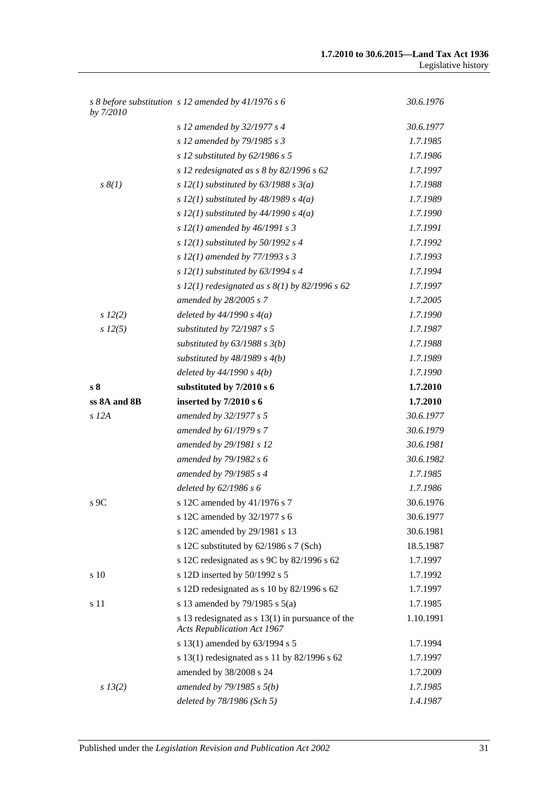| by 7/2010             | s 8 before substitution s 12 amended by 41/1976 s 6                                      | 30.6.1976 |
|-----------------------|------------------------------------------------------------------------------------------|-----------|
|                       | s 12 amended by 32/1977 s 4                                                              | 30.6.1977 |
|                       | s 12 amended by 79/1985 s 3                                                              | 1.7.1985  |
|                       | s 12 substituted by $62/1986$ s 5                                                        | 1.7.1986  |
|                       | s 12 redesignated as $s$ 8 by 82/1996 $s$ 62                                             | 1.7.1997  |
| $s \, \mathcal{S}(1)$ | s 12(1) substituted by 63/1988 s $3(a)$                                                  | 1.7.1988  |
|                       | s 12(1) substituted by 48/1989 s $4(a)$                                                  | 1.7.1989  |
|                       | s 12(1) substituted by 44/1990 s $4(a)$                                                  | 1.7.1990  |
|                       | s 12(1) amended by $46/1991$ s 3                                                         | 1.7.1991  |
|                       | s 12(1) substituted by 50/1992 s 4                                                       | 1.7.1992  |
|                       | s 12(1) amended by 77/1993 s 3                                                           | 1.7.1993  |
|                       | s $12(1)$ substituted by 63/1994 s 4                                                     | 1.7.1994  |
|                       | s 12(1) redesignated as $s(1)$ by 82/1996 s 62                                           | 1.7.1997  |
|                       | amended by 28/2005 s 7                                                                   | 1.7.2005  |
| $s\ 12(2)$            | deleted by $44/1990 s 4(a)$                                                              | 1.7.1990  |
| s 12(5)               | substituted by 72/1987 s 5                                                               | 1.7.1987  |
|                       | substituted by $63/1988$ s $3(b)$                                                        | 1.7.1988  |
|                       | substituted by $48/1989$ s $4(b)$                                                        | 1.7.1989  |
|                       | deleted by $44/1990 s 4(b)$                                                              | 1.7.1990  |
| s <sub>8</sub>        | substituted by 7/2010 s 6                                                                | 1.7.2010  |
| ss 8A and 8B          | inserted by 7/2010 s 6                                                                   | 1.7.2010  |
| $s$ 12A               | amended by 32/1977 s 5                                                                   | 30.6.1977 |
|                       | amended by $61/1979 s 7$                                                                 | 30.6.1979 |
|                       | amended by 29/1981 s 12                                                                  | 30.6.1981 |
|                       | amended by 79/1982 s 6                                                                   | 30.6.1982 |
|                       | amended by 79/1985 s 4                                                                   | 1.7.1985  |
|                       | deleted by $62/1986 s 6$                                                                 | 1.7.1986  |
| $s$ 9C                | s 12C amended by 41/1976 s 7                                                             | 30.6.1976 |
|                       | s 12C amended by 32/1977 s 6                                                             | 30.6.1977 |
|                       | s 12C amended by 29/1981 s 13                                                            | 30.6.1981 |
|                       | s 12C substituted by 62/1986 s 7 (Sch)                                                   | 18.5.1987 |
|                       | s 12C redesignated as s 9C by 82/1996 s 62                                               | 1.7.1997  |
| s 10                  | s 12D inserted by $50/1992$ s 5                                                          | 1.7.1992  |
|                       | s 12D redesignated as s 10 by 82/1996 s 62                                               | 1.7.1997  |
| s 11                  | s 13 amended by $79/1985$ s $5(a)$                                                       | 1.7.1985  |
|                       | s 13 redesignated as $s$ 13(1) in pursuance of the<br><b>Acts Republication Act 1967</b> | 1.10.1991 |
|                       | s 13(1) amended by 63/1994 s 5                                                           | 1.7.1994  |
|                       | s 13(1) redesignated as s 11 by 82/1996 s 62                                             | 1.7.1997  |
|                       | amended by 38/2008 s 24                                                                  | 1.7.2009  |
| $s\,13(2)$            | amended by $79/1985 s 5(b)$                                                              | 1.7.1985  |
|                       | deleted by 78/1986 (Sch 5)                                                               | 1.4.1987  |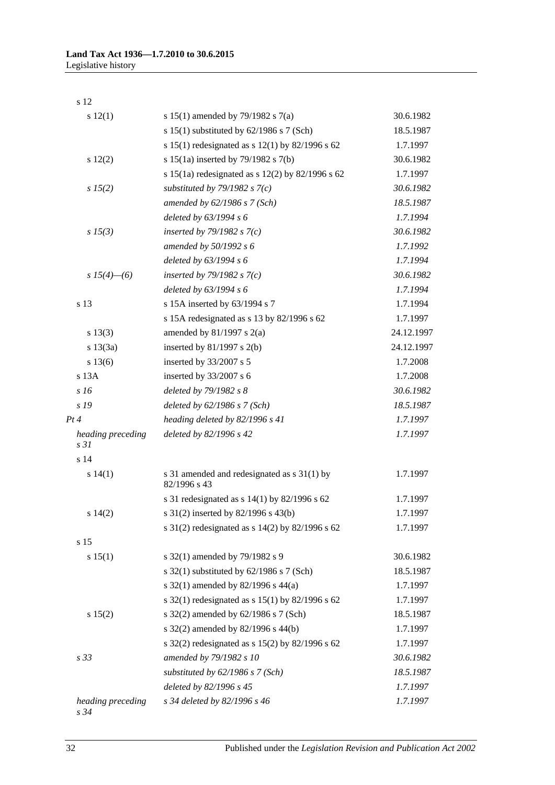s 12

| s 12(1)                              | s 15(1) amended by 79/1982 s 7(a)                           | 30.6.1982  |
|--------------------------------------|-------------------------------------------------------------|------------|
|                                      | s $15(1)$ substituted by $62/1986$ s 7 (Sch)                | 18.5.1987  |
|                                      | s 15(1) redesignated as s 12(1) by 82/1996 s 62             | 1.7.1997   |
| 12(2)                                | s 15(1a) inserted by 79/1982 s 7(b)                         | 30.6.1982  |
|                                      | s 15(1a) redesignated as s 12(2) by 82/1996 s 62            | 1.7.1997   |
| s 15(2)                              | substituted by 79/1982 s $7(c)$                             | 30.6.1982  |
|                                      | amended by 62/1986 s 7 (Sch)                                | 18.5.1987  |
|                                      | deleted by 63/1994 s 6                                      | 1.7.1994   |
| s 15(3)                              | inserted by 79/1982 s $7(c)$                                | 30.6.1982  |
|                                      | amended by 50/1992 s 6                                      | 1.7.1992   |
|                                      | deleted by 63/1994 s 6                                      | 1.7.1994   |
| s $15(4)$ —(6)                       | inserted by $79/1982$ s $7(c)$                              | 30.6.1982  |
|                                      | deleted by 63/1994 s 6                                      | 1.7.1994   |
| s 13                                 | s 15A inserted by 63/1994 s 7                               | 1.7.1994   |
|                                      | s 15A redesignated as s 13 by 82/1996 s 62                  | 1.7.1997   |
| s 13(3)                              | amended by $81/1997$ s $2(a)$                               | 24.12.1997 |
| s 13(3a)                             | inserted by $81/1997$ s $2(b)$                              | 24.12.1997 |
| s 13(6)                              | inserted by 33/2007 s 5                                     | 1.7.2008   |
| s 13A                                | inserted by 33/2007 s 6                                     | 1.7.2008   |
| s16                                  | deleted by 79/1982 s 8                                      | 30.6.1982  |
| s 19                                 | deleted by $62/1986$ s $7 (Sch)$                            | 18.5.1987  |
| Pt 4                                 | heading deleted by 82/1996 s 41                             | 1.7.1997   |
| heading preceding<br>s <sub>31</sub> | deleted by 82/1996 s 42                                     | 1.7.1997   |
| s 14                                 |                                                             |            |
| s 14(1)                              | s 31 amended and redesignated as s 31(1) by<br>82/1996 s 43 | 1.7.1997   |
|                                      | s 31 redesignated as $s$ 14(1) by 82/1996 s 62              | 1.7.1997   |
| s 14(2)                              | s 31(2) inserted by 82/1996 s 43(b)                         | 1.7.1997   |
|                                      | s 31(2) redesignated as s 14(2) by 82/1996 s 62             | 1.7.1997   |
| s 15                                 |                                                             |            |
| s 15(1)                              | s 32(1) amended by 79/1982 s 9                              | 30.6.1982  |
|                                      | s $32(1)$ substituted by $62/1986$ s 7 (Sch)                | 18.5.1987  |
|                                      | s 32(1) amended by 82/1996 s 44(a)                          | 1.7.1997   |
|                                      | s $32(1)$ redesignated as s $15(1)$ by $82/1996$ s 62       | 1.7.1997   |
| s 15(2)                              | s 32(2) amended by 62/1986 s 7 (Sch)                        | 18.5.1987  |
|                                      | s 32(2) amended by 82/1996 s 44(b)                          | 1.7.1997   |
|                                      | s 32(2) redesignated as s $15(2)$ by 82/1996 s 62           | 1.7.1997   |
| s <sub>33</sub>                      | amended by 79/1982 s 10                                     | 30.6.1982  |
|                                      | substituted by $62/1986$ s $7 (Sch)$                        | 18.5.1987  |
|                                      | deleted by 82/1996 s 45                                     | 1.7.1997   |
| heading preceding<br>s34             | s 34 deleted by 82/1996 s 46                                | 1.7.1997   |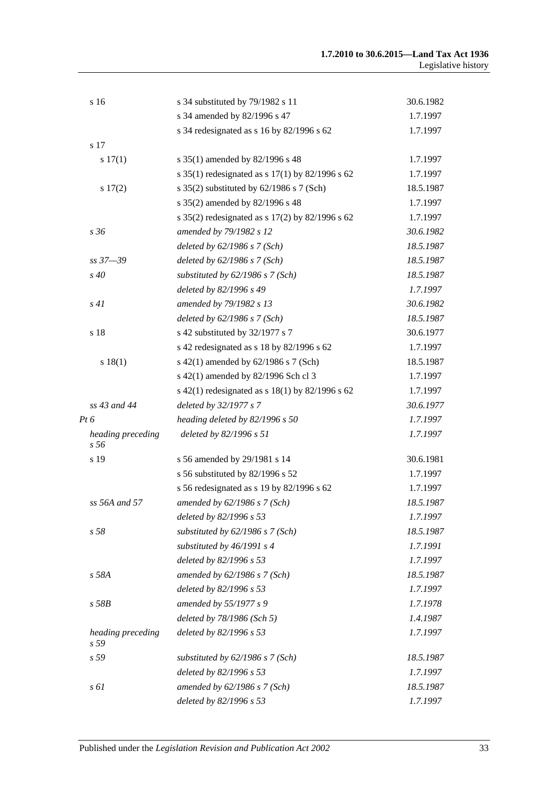| s 16                      | s 34 substituted by 79/1982 s 11                  | 30.6.1982 |
|---------------------------|---------------------------------------------------|-----------|
|                           | s 34 amended by 82/1996 s 47                      | 1.7.1997  |
|                           | s 34 redesignated as s 16 by 82/1996 s 62         | 1.7.1997  |
| s 17                      |                                                   |           |
| s 17(1)                   | s 35(1) amended by 82/1996 s 48                   | 1.7.1997  |
|                           | s 35(1) redesignated as s $17(1)$ by 82/1996 s 62 | 1.7.1997  |
| s 17(2)                   | s $35(2)$ substituted by $62/1986$ s 7 (Sch)      | 18.5.1987 |
|                           | s 35(2) amended by 82/1996 s 48                   | 1.7.1997  |
|                           | s 35(2) redesignated as s $17(2)$ by 82/1996 s 62 | 1.7.1997  |
| s36                       | amended by 79/1982 s 12                           | 30.6.1982 |
|                           | deleted by $62/1986$ s $7$ (Sch)                  | 18.5.1987 |
| $ss\,37 - 39$             | deleted by $62/1986$ s $7$ (Sch)                  | 18.5.1987 |
| $s\,40$                   | substituted by $62/1986$ s $7$ (Sch)              | 18.5.1987 |
|                           | deleted by 82/1996 s 49                           | 1.7.1997  |
| s41                       | amended by 79/1982 s 13                           | 30.6.1982 |
|                           | deleted by $62/1986 s 7 (Sch)$                    | 18.5.1987 |
| s 18                      | s 42 substituted by 32/1977 s 7                   | 30.6.1977 |
|                           | s 42 redesignated as s 18 by 82/1996 s 62         | 1.7.1997  |
| s 18(1)                   | s 42(1) amended by 62/1986 s 7 (Sch)              | 18.5.1987 |
|                           | s 42(1) amended by 82/1996 Sch cl 3               | 1.7.1997  |
|                           | s 42(1) redesignated as s 18(1) by 82/1996 s 62   | 1.7.1997  |
| ss 43 and 44              | deleted by 32/1977 s 7                            | 30.6.1977 |
| Pt 6                      | heading deleted by 82/1996 s 50                   | 1.7.1997  |
| heading preceding<br>s 56 | deleted by 82/1996 s 51                           | 1.7.1997  |
| s 19                      | s 56 amended by 29/1981 s 14                      | 30.6.1981 |
|                           | s 56 substituted by 82/1996 s 52                  | 1.7.1997  |
|                           | s 56 redesignated as s 19 by 82/1996 s 62         | 1.7.1997  |
| ss 56A and 57             | amended by $62/1986$ s $7$ (Sch)                  | 18.5.1987 |
|                           | deleted by 82/1996 s 53                           | 1.7.1997  |
| s <sub>58</sub>           | substituted by 62/1986 s 7 (Sch)                  | 18.5.1987 |
|                           | substituted by 46/1991 s 4                        | 1.7.1991  |
|                           | deleted by 82/1996 s 53                           | 1.7.1997  |
| s 58A                     | amended by $62/1986$ s $7$ (Sch)                  | 18.5.1987 |
|                           | deleted by 82/1996 s 53                           | 1.7.1997  |
| $s$ 58 $B$                | amended by 55/1977 s 9                            | 1.7.1978  |
|                           | deleted by 78/1986 (Sch 5)                        | 1.4.1987  |
| heading preceding<br>s 59 | deleted by 82/1996 s 53                           | 1.7.1997  |
| s 59                      | substituted by $62/1986$ s $7$ (Sch)              | 18.5.1987 |
|                           | deleted by 82/1996 s 53                           | 1.7.1997  |
| s 61                      | amended by $62/1986$ s $7$ (Sch)                  | 18.5.1987 |
|                           | deleted by 82/1996 s 53                           | 1.7.1997  |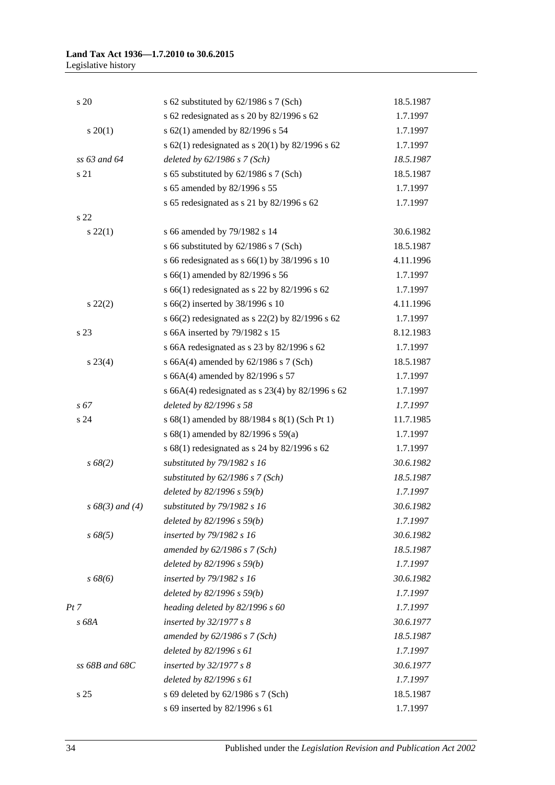| s 20               | s 62 substituted by $62/1986$ s 7 (Sch)              | 18.5.1987 |
|--------------------|------------------------------------------------------|-----------|
|                    | s 62 redesignated as s 20 by 82/1996 s 62            | 1.7.1997  |
| $s \ 20(1)$        | s 62(1) amended by 82/1996 s 54                      | 1.7.1997  |
|                    | s 62(1) redesignated as s 20(1) by 82/1996 s 62      | 1.7.1997  |
| ss 63 and 64       | deleted by $62/1986$ s $7$ (Sch)                     | 18.5.1987 |
| s 21               | s 65 substituted by 62/1986 s 7 (Sch)                | 18.5.1987 |
|                    | s 65 amended by 82/1996 s 55                         | 1.7.1997  |
|                    | s 65 redesignated as s 21 by 82/1996 s 62            | 1.7.1997  |
| s <sub>22</sub>    |                                                      |           |
| $s\,22(1)$         | s 66 amended by 79/1982 s 14                         | 30.6.1982 |
|                    | s 66 substituted by 62/1986 s 7 (Sch)                | 18.5.1987 |
|                    | s 66 redesignated as s 66(1) by $38/1996$ s 10       | 4.11.1996 |
|                    | s 66(1) amended by 82/1996 s 56                      | 1.7.1997  |
|                    | s 66(1) redesignated as s 22 by 82/1996 s 62         | 1.7.1997  |
| $s\ 22(2)$         | s 66(2) inserted by 38/1996 s 10                     | 4.11.1996 |
|                    | s 66(2) redesignated as s 22(2) by 82/1996 s 62      | 1.7.1997  |
| s 23               | s 66A inserted by 79/1982 s 15                       | 8.12.1983 |
|                    | s 66A redesignated as s 23 by 82/1996 s 62           | 1.7.1997  |
| $s\,23(4)$         | s 66A $(4)$ amended by 62/1986 s 7 (Sch)             | 18.5.1987 |
|                    | s 66A(4) amended by 82/1996 s 57                     | 1.7.1997  |
|                    | s 66A(4) redesignated as s $23(4)$ by $82/1996$ s 62 | 1.7.1997  |
| $s\,67$            | deleted by 82/1996 s 58                              | 1.7.1997  |
| s 24               | s 68(1) amended by 88/1984 s 8(1) (Sch Pt 1)         | 11.7.1985 |
|                    | s 68(1) amended by 82/1996 s 59(a)                   | 1.7.1997  |
|                    | s 68(1) redesignated as s 24 by 82/1996 s 62         | 1.7.1997  |
| s 68(2)            | substituted by 79/1982 s 16                          | 30.6.1982 |
|                    | substituted by $62/1986$ s $7$ (Sch)                 | 18.5.1987 |
|                    | deleted by $82/1996 s 59(b)$                         | 1.7.1997  |
| $s\,68(3)$ and (4) | substituted by 79/1982 s 16                          | 30.6.1982 |
|                    | deleted by $82/1996 s 59(b)$                         | 1.7.1997  |
| $s\,68(5)$         | inserted by 79/1982 s 16                             | 30.6.1982 |
|                    | amended by $62/1986$ s $7$ (Sch)                     | 18.5.1987 |
|                    | deleted by $82/1996 s 59(b)$                         | 1.7.1997  |
| $s\,68(6)$         | inserted by 79/1982 s 16                             | 30.6.1982 |
|                    | deleted by $82/1996 s 59(b)$                         | 1.7.1997  |
| Pt 7               | heading deleted by 82/1996 s 60                      | 1.7.1997  |
| s 68A              | inserted by 32/1977 s 8                              | 30.6.1977 |
|                    | amended by $62/1986$ s $7$ (Sch)                     | 18.5.1987 |
|                    | deleted by 82/1996 s 61                              | 1.7.1997  |
| ss 68B and 68C     | inserted by 32/1977 s 8                              | 30.6.1977 |
|                    | deleted by 82/1996 s 61                              | 1.7.1997  |
| s <sub>25</sub>    | s 69 deleted by 62/1986 s 7 (Sch)                    | 18.5.1987 |
|                    | s 69 inserted by 82/1996 s 61                        | 1.7.1997  |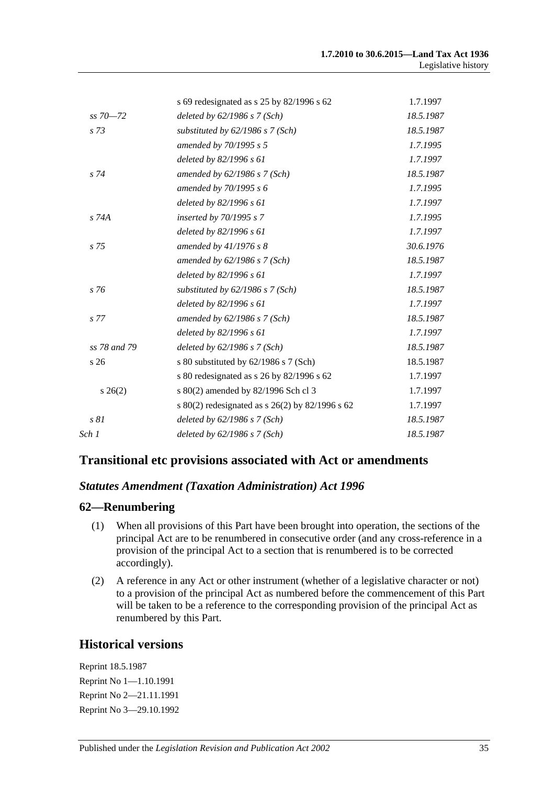| 18.5.1987<br>18.5.1987<br>1.7.1995<br>1.7.1997<br>18.5.1987<br>1.7.1995 |
|-------------------------------------------------------------------------|
|                                                                         |
|                                                                         |
|                                                                         |
|                                                                         |
|                                                                         |
|                                                                         |
| 1.7.1997                                                                |
| 1.7.1995                                                                |
| 1.7.1997                                                                |
| 30.6.1976                                                               |
| 18.5.1987                                                               |
| 1.7.1997                                                                |
| 18.5.1987                                                               |
| 1.7.1997                                                                |
| 18.5.1987                                                               |
| 1.7.1997                                                                |
| 18.5.1987                                                               |
| 18.5.1987                                                               |
| 1.7.1997                                                                |
| 1.7.1997                                                                |
| 1.7.1997                                                                |
| 18.5.1987                                                               |
| 18.5.1987                                                               |
|                                                                         |

## **Transitional etc provisions associated with Act or amendments**

#### *Statutes Amendment (Taxation Administration) Act 1996*

#### **62—Renumbering**

- (1) When all provisions of this Part have been brought into operation, the sections of the principal Act are to be renumbered in consecutive order (and any cross-reference in a provision of the principal Act to a section that is renumbered is to be corrected accordingly).
- (2) A reference in any Act or other instrument (whether of a legislative character or not) to a provision of the principal Act as numbered before the commencement of this Part will be taken to be a reference to the corresponding provision of the principal Act as renumbered by this Part.

#### **Historical versions**

Reprint 18.5.1987 Reprint No 1—1.10.1991 Reprint No 2—21.11.1991 Reprint No 3—29.10.1992